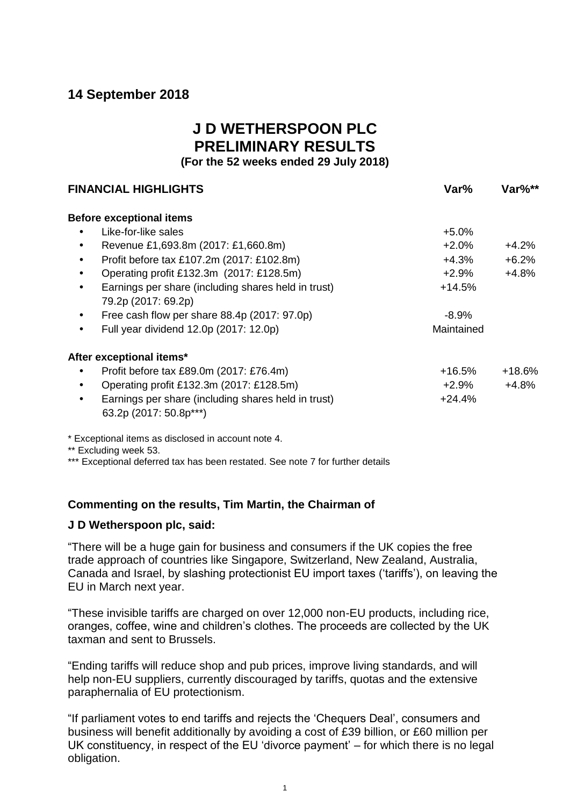# **14 September 2018**

# **J D WETHERSPOON PLC PRELIMINARY RESULTS**

**(For the 52 weeks ended 29 July 2018)**

| <b>FINANCIAL HIGHLIGHTS</b> |                                                                               | Var%       | Var%**   |  |
|-----------------------------|-------------------------------------------------------------------------------|------------|----------|--|
|                             | <b>Before exceptional items</b>                                               |            |          |  |
|                             | Like-for-like sales                                                           | $+5.0\%$   |          |  |
|                             | Revenue £1,693.8m (2017: £1,660.8m)                                           | $+2.0\%$   | $+4.2%$  |  |
| $\bullet$                   | Profit before tax £107.2m (2017: £102.8m)                                     | +4.3%      | $+6.2%$  |  |
|                             | Operating profit £132.3m (2017: £128.5m)                                      | $+2.9%$    | $+4.8%$  |  |
|                             | Earnings per share (including shares held in trust)                           | $+14.5%$   |          |  |
|                             | 79.2p (2017: 69.2p)                                                           |            |          |  |
| $\bullet$                   | Free cash flow per share 88.4p (2017: 97.0p)                                  | $-8.9%$    |          |  |
| $\bullet$                   | Full year dividend 12.0p (2017: 12.0p)                                        | Maintained |          |  |
|                             | After exceptional items*                                                      |            |          |  |
|                             | Profit before tax £89.0m (2017: £76.4m)                                       | +16.5%     | $+18.6%$ |  |
|                             | Operating profit £132.3m (2017: £128.5m)                                      | +2.9%      | $+4.8%$  |  |
| $\bullet$                   | Earnings per share (including shares held in trust)<br>63.2p (2017: 50.8p***) | $+24.4%$   |          |  |

\* Exceptional items as disclosed in account note 4.

\*\* Excluding week 53.

\*\*\* Exceptional deferred tax has been restated. See note 7 for further details

# **Commenting on the results, Tim Martin, the Chairman of**

# **J D Wetherspoon plc, said:**

"There will be a huge gain for business and consumers if the UK copies the free trade approach of countries like Singapore, Switzerland, New Zealand, Australia, Canada and Israel, by slashing protectionist EU import taxes ('tariffs'), on leaving the EU in March next year.

"These invisible tariffs are charged on over 12,000 non-EU products, including rice, oranges, coffee, wine and children's clothes. The proceeds are collected by the UK taxman and sent to Brussels.

"Ending tariffs will reduce shop and pub prices, improve living standards, and will help non-EU suppliers, currently discouraged by tariffs, quotas and the extensive paraphernalia of EU protectionism.

"If parliament votes to end tariffs and rejects the 'Chequers Deal', consumers and business will benefit additionally by avoiding a cost of £39 billion, or £60 million per UK constituency, in respect of the EU 'divorce payment' – for which there is no legal obligation.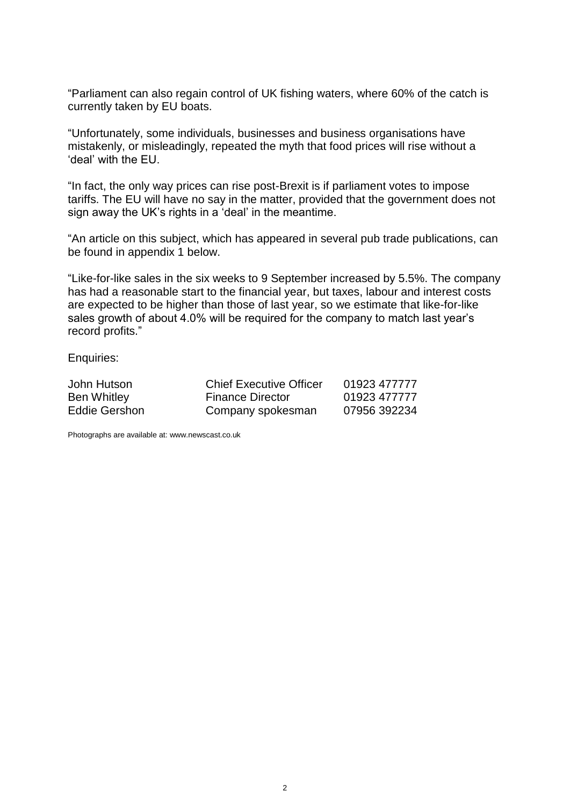"Parliament can also regain control of UK fishing waters, where 60% of the catch is currently taken by EU boats.

"Unfortunately, some individuals, businesses and business organisations have mistakenly, or misleadingly, repeated the myth that food prices will rise without a 'deal' with the EU.

"In fact, the only way prices can rise post-Brexit is if parliament votes to impose tariffs. The EU will have no say in the matter, provided that the government does not sign away the UK's rights in a 'deal' in the meantime.

"An article on this subject, which has appeared in several pub trade publications, can be found in appendix 1 below.

"Like-for-like sales in the six weeks to 9 September increased by 5.5%. The company has had a reasonable start to the financial year, but taxes, labour and interest costs are expected to be higher than those of last year, so we estimate that like-for-like sales growth of about 4.0% will be required for the company to match last year's record profits."

Enquiries:

| John Hutson   | <b>Chief Executive Officer</b> | 01923 477777 |
|---------------|--------------------------------|--------------|
| Ben Whitley   | <b>Finance Director</b>        | 01923 477777 |
| Eddie Gershon | Company spokesman              | 07956 392234 |

Photographs are available at: www.newscast.co.uk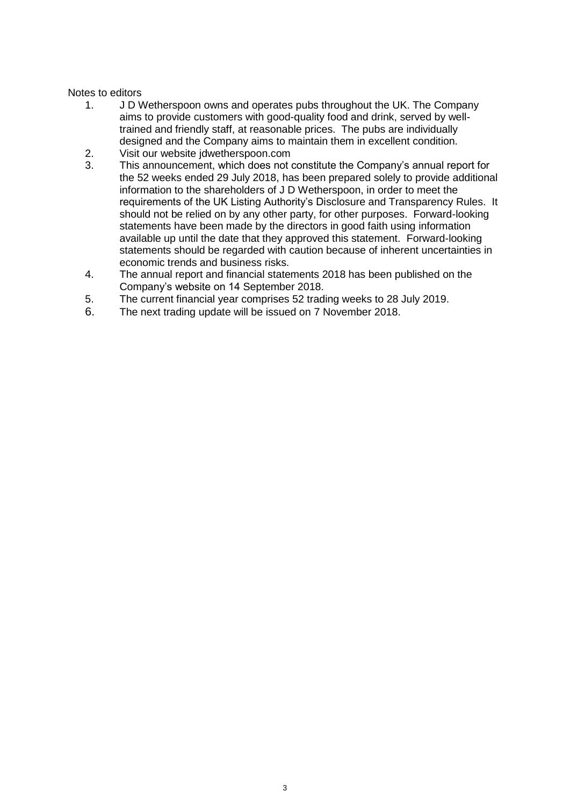# Notes to editors

- 1. J D Wetherspoon owns and operates pubs throughout the UK. The Company aims to provide customers with good-quality food and drink, served by welltrained and friendly staff, at reasonable prices. The pubs are individually designed and the Company aims to maintain them in excellent condition.
- 2. Visit our website jdwetherspoon.com
- 3. This announcement, which does not constitute the Company's annual report for the 52 weeks ended 29 July 2018, has been prepared solely to provide additional information to the shareholders of J D Wetherspoon, in order to meet the requirements of the UK Listing Authority's Disclosure and Transparency Rules. It should not be relied on by any other party, for other purposes. Forward-looking statements have been made by the directors in good faith using information available up until the date that they approved this statement. Forward-looking statements should be regarded with caution because of inherent uncertainties in economic trends and business risks.
- 4. The annual report and financial statements 2018 has been published on the Company's website on 14 September 2018.
- 5. The current financial year comprises 52 trading weeks to 28 July 2019.
- 6. The next trading update will be issued on 7 November 2018.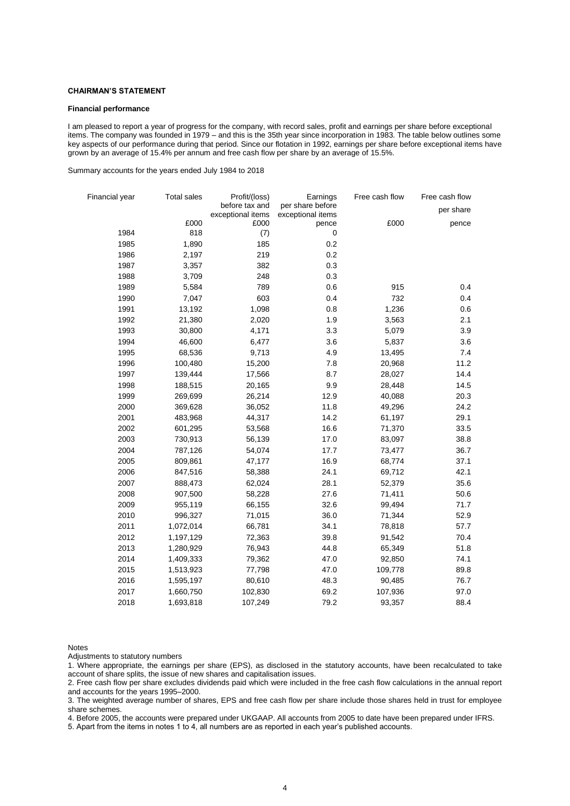#### **CHAIRMAN'S STATEMENT**

#### **Financial performance**

I am pleased to report a year of progress for the company, with record sales, profit and earnings per share before exceptional items. The company was founded in 1979 – and this is the 35th year since incorporation in 1983. The table below outlines some key aspects of our performance during that period. Since our flotation in 1992, earnings per share before exceptional items have grown by an average of 15.4% per annum and free cash flow per share by an average of 15.5%.

Summary accounts for the years ended July 1984 to 2018

| Financial year | <b>Total sales</b> | Profit/(loss)                       | Earnings                              | Free cash flow | Free cash flow |
|----------------|--------------------|-------------------------------------|---------------------------------------|----------------|----------------|
|                |                    | before tax and<br>exceptional items | per share before<br>exceptional items |                | per share      |
|                | £000               | £000                                | pence                                 | £000           | pence          |
| 1984           | 818                | (7)                                 | 0                                     |                |                |
| 1985           | 1,890              | 185                                 | 0.2                                   |                |                |
| 1986           | 2,197              | 219                                 | 0.2                                   |                |                |
| 1987           | 3,357              | 382                                 | 0.3                                   |                |                |
| 1988           | 3,709              | 248                                 | 0.3                                   |                |                |
| 1989           | 5,584              | 789                                 | 0.6                                   | 915            | 0.4            |
| 1990           | 7,047              | 603                                 | 0.4                                   | 732            | 0.4            |
| 1991           | 13,192             | 1,098                               | 0.8                                   | 1,236          | 0.6            |
| 1992           | 21,380             | 2,020                               | 1.9                                   | 3,563          | 2.1            |
| 1993           | 30,800             | 4,171                               | 3.3                                   | 5,079          | 3.9            |
| 1994           | 46,600             | 6,477                               | 3.6                                   | 5,837          | 3.6            |
| 1995           | 68,536             | 9,713                               | 4.9                                   | 13,495         | 7.4            |
| 1996           | 100,480            | 15,200                              | 7.8                                   | 20,968         | 11.2           |
| 1997           | 139,444            | 17,566                              | 8.7                                   | 28,027         | 14.4           |
| 1998           | 188,515            | 20,165                              | 9.9                                   | 28,448         | 14.5           |
| 1999           | 269,699            | 26,214                              | 12.9                                  | 40,088         | 20.3           |
| 2000           | 369,628            | 36,052                              | 11.8                                  | 49,296         | 24.2           |
| 2001           | 483,968            | 44,317                              | 14.2                                  | 61,197         | 29.1           |
| 2002           | 601,295            | 53,568                              | 16.6                                  | 71,370         | 33.5           |
| 2003           | 730,913            | 56,139                              | 17.0                                  | 83,097         | 38.8           |
| 2004           | 787,126            | 54,074                              | 17.7                                  | 73,477         | 36.7           |
| 2005           | 809,861            | 47,177                              | 16.9                                  | 68,774         | 37.1           |
| 2006           | 847,516            | 58,388                              | 24.1                                  | 69,712         | 42.1           |
| 2007           | 888,473            | 62,024                              | 28.1                                  | 52,379         | 35.6           |
| 2008           | 907,500            | 58,228                              | 27.6                                  | 71,411         | 50.6           |
| 2009           | 955,119            | 66,155                              | 32.6                                  | 99,494         | 71.7           |
| 2010           | 996,327            | 71,015                              | 36.0                                  | 71,344         | 52.9           |
| 2011           | 1,072,014          | 66,781                              | 34.1                                  | 78,818         | 57.7           |
| 2012           | 1,197,129          | 72,363                              | 39.8                                  | 91,542         | 70.4           |
| 2013           | 1,280,929          | 76,943                              | 44.8                                  | 65,349         | 51.8           |
| 2014           | 1,409,333          | 79,362                              | 47.0                                  | 92,850         | 74.1           |
| 2015           | 1,513,923          | 77,798                              | 47.0                                  | 109,778        | 89.8           |
| 2016           | 1,595,197          | 80,610                              | 48.3                                  | 90,485         | 76.7           |
| 2017           | 1,660,750          | 102,830                             | 69.2                                  | 107,936        | 97.0           |
| 2018           | 1,693,818          | 107,249                             | 79.2                                  | 93,357         | 88.4           |

Notes

Adjustments to statutory numbers

1. Where appropriate, the earnings per share (EPS), as disclosed in the statutory accounts, have been recalculated to take account of share splits, the issue of new shares and capitalisation issues.

2. Free cash flow per share excludes dividends paid which were included in the free cash flow calculations in the annual report and accounts for the years 1995–2000.

3. The weighted average number of shares, EPS and free cash flow per share include those shares held in trust for employee share schemes.

4. Before 2005, the accounts were prepared under UKGAAP. All accounts from 2005 to date have been prepared under IFRS.

5. Apart from the items in notes 1 to 4, all numbers are as reported in each year's published accounts.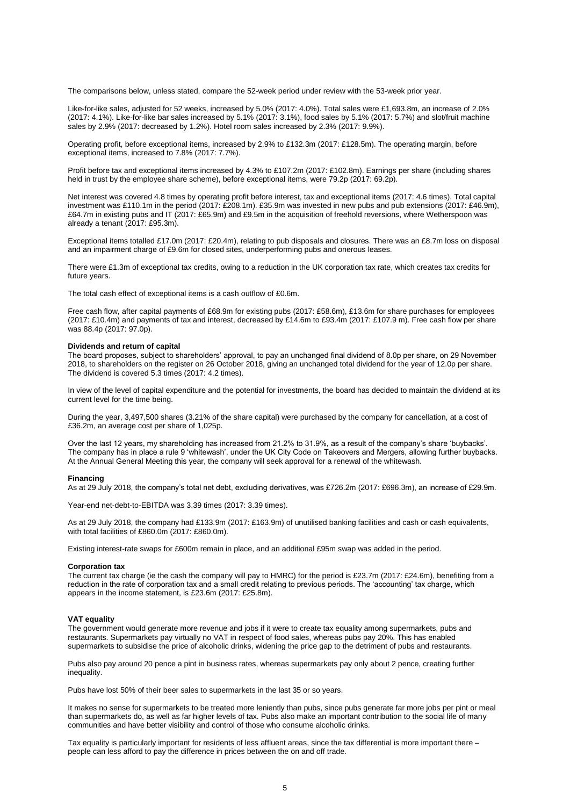The comparisons below, unless stated, compare the 52-week period under review with the 53-week prior year.

Like-for-like sales, adjusted for 52 weeks, increased by 5.0% (2017: 4.0%). Total sales were £1,693.8m, an increase of 2.0% (2017: 4.1%). Like-for-like bar sales increased by 5.1% (2017: 3.1%), food sales by 5.1% (2017: 5.7%) and slot/fruit machine sales by 2.9% (2017: decreased by 1.2%). Hotel room sales increased by 2.3% (2017: 9.9%).

Operating profit, before exceptional items, increased by 2.9% to £132.3m (2017: £128.5m). The operating margin, before exceptional items, increased to 7.8% (2017: 7.7%).

Profit before tax and exceptional items increased by 4.3% to £107.2m (2017: £102.8m). Earnings per share (including shares held in trust by the employee share scheme), before exceptional items, were 79.2p (2017: 69.2p).

Net interest was covered 4.8 times by operating profit before interest, tax and exceptional items (2017: 4.6 times). Total capital investment was £110.1m in the period (2017: £208.1m). £35.9m was invested in new pubs and pub extensions (2017: £46.9m), £64.7m in existing pubs and IT (2017: £65.9m) and £9.5m in the acquisition of freehold reversions, where Wetherspoon was already a tenant (2017: £95.3m).

Exceptional items totalled £17.0m (2017: £20.4m), relating to pub disposals and closures. There was an £8.7m loss on disposal and an impairment charge of £9.6m for closed sites, underperforming pubs and onerous leases.

There were £1.3m of exceptional tax credits, owing to a reduction in the UK corporation tax rate, which creates tax credits for future years.

The total cash effect of exceptional items is a cash outflow of £0.6m.

Free cash flow, after capital payments of £68.9m for existing pubs (2017: £58.6m), £13.6m for share purchases for employees (2017: £10.4m) and payments of tax and interest, decreased by £14.6m to £93.4m (2017: £107.9 m). Free cash flow per share was 88.4p (2017: 97.0p).

#### **Dividends and return of capital**

The board proposes, subject to shareholders' approval, to pay an unchanged final dividend of 8.0p per share, on 29 November 2018, to shareholders on the register on 26 October 2018, giving an unchanged total dividend for the year of 12.0p per share. The dividend is covered 5.3 times (2017: 4.2 times).

In view of the level of capital expenditure and the potential for investments, the board has decided to maintain the dividend at its current level for the time being.

During the year, 3,497,500 shares (3.21% of the share capital) were purchased by the company for cancellation, at a cost of £36.2m, an average cost per share of 1,025p.

Over the last 12 years, my shareholding has increased from 21.2% to 31.9%, as a result of the company's share 'buybacks'. The company has in place a rule 9 'whitewash', under the UK City Code on Takeovers and Mergers, allowing further buybacks. At the Annual General Meeting this year, the company will seek approval for a renewal of the whitewash.

#### **Financing**

As at 29 July 2018, the company's total net debt, excluding derivatives, was £726.2m (2017: £696.3m), an increase of £29.9m.

Year-end net-debt-to-EBITDA was 3.39 times (2017: 3.39 times).

As at 29 July 2018, the company had £133.9m (2017: £163.9m) of unutilised banking facilities and cash or cash equivalents, with total facilities of £860.0m (2017: £860.0m).

Existing interest-rate swaps for £600m remain in place, and an additional £95m swap was added in the period.

#### **Corporation tax**

The current tax charge (ie the cash the company will pay to HMRC) for the period is £23.7m (2017: £24.6m), benefiting from a reduction in the rate of corporation tax and a small credit relating to previous periods. The 'accounting' tax charge, which appears in the income statement, is £23.6m (2017: £25.8m).

#### **VAT equality**

The government would generate more revenue and jobs if it were to create tax equality among supermarkets, pubs and restaurants. Supermarkets pay virtually no VAT in respect of food sales, whereas pubs pay 20%. This has enabled supermarkets to subsidise the price of alcoholic drinks, widening the price gap to the detriment of pubs and restaurants.

Pubs also pay around 20 pence a pint in business rates, whereas supermarkets pay only about 2 pence, creating further inequality.

Pubs have lost 50% of their beer sales to supermarkets in the last 35 or so years.

It makes no sense for supermarkets to be treated more leniently than pubs, since pubs generate far more jobs per pint or meal than supermarkets do, as well as far higher levels of tax. Pubs also make an important contribution to the social life of many communities and have better visibility and control of those who consume alcoholic drinks.

Tax equality is particularly important for residents of less affluent areas, since the tax differential is more important there – people can less afford to pay the difference in prices between the on and off trade.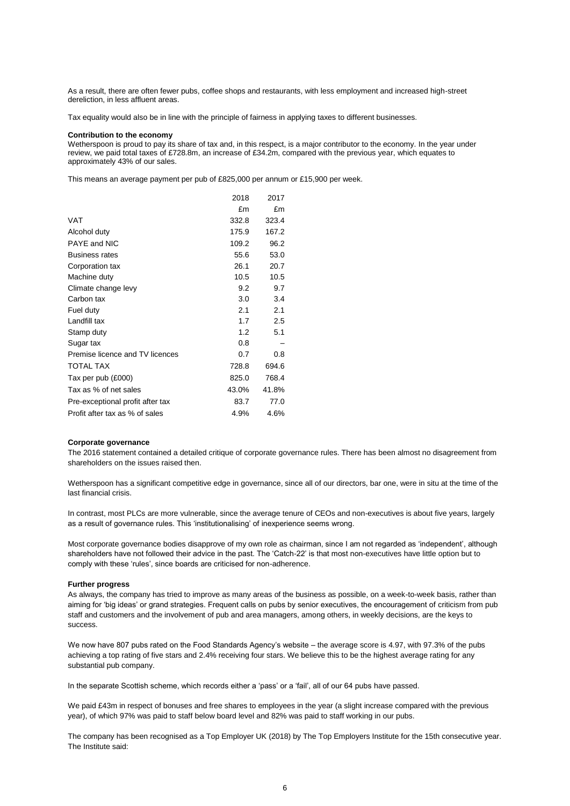As a result, there are often fewer pubs, coffee shops and restaurants, with less employment and increased high-street dereliction, in less affluent areas.

Tax equality would also be in line with the principle of fairness in applying taxes to different businesses.

#### **Contribution to the economy**

Wetherspoon is proud to pay its share of tax and, in this respect, is a major contributor to the economy. In the year under review, we paid total taxes of £728.8m, an increase of £34.2m, compared with the previous year, which equates to approximately 43% of our sales.

This means an average payment per pub of £825,000 per annum or £15,900 per week.

|                                  | 2018  | 2017  |
|----------------------------------|-------|-------|
|                                  | £m    | £m    |
| <b>VAT</b>                       | 332.8 | 323.4 |
| Alcohol duty                     | 175.9 | 167.2 |
| PAYE and NIC                     | 109.2 | 96.2  |
| <b>Business rates</b>            | 55.6  | 53.0  |
| Corporation tax                  | 26.1  | 20.7  |
| Machine duty                     | 10.5  | 10.5  |
| Climate change levy              | 9.2   | 9.7   |
| Carbon tax                       | 3.0   | 3.4   |
| Fuel duty                        | 2.1   | 2.1   |
| Landfill tax                     | 1.7   | 2.5   |
| Stamp duty                       | 1.2   | 5.1   |
| Sugar tax                        | 0.8   |       |
| Premise licence and TV licences  | 0.7   | 0.8   |
| <b>TOTAL TAX</b>                 | 728.8 | 694.6 |
| Tax per pub (£000)               | 825.0 | 768.4 |
| Tax as % of net sales            | 43.0% | 41.8% |
| Pre-exceptional profit after tax | 83.7  | 77.0  |
| Profit after tax as % of sales   | 4.9%  | 4.6%  |
|                                  |       |       |

#### **Corporate governance**

The 2016 statement contained a detailed critique of corporate governance rules. There has been almost no disagreement from shareholders on the issues raised then.

Wetherspoon has a significant competitive edge in governance, since all of our directors, bar one, were in situ at the time of the last financial crisis.

In contrast, most PLCs are more vulnerable, since the average tenure of CEOs and non-executives is about five years, largely as a result of governance rules. This 'institutionalising' of inexperience seems wrong.

Most corporate governance bodies disapprove of my own role as chairman, since I am not regarded as 'independent', although shareholders have not followed their advice in the past. The 'Catch-22' is that most non-executives have little option but to comply with these 'rules', since boards are criticised for non-adherence.

#### **Further progress**

As always, the company has tried to improve as many areas of the business as possible, on a week-to-week basis, rather than aiming for 'big ideas' or grand strategies. Frequent calls on pubs by senior executives, the encouragement of criticism from pub staff and customers and the involvement of pub and area managers, among others, in weekly decisions, are the keys to success.

We now have 807 pubs rated on the Food Standards Agency's website – the average score is 4.97, with 97.3% of the pubs achieving a top rating of five stars and 2.4% receiving four stars. We believe this to be the highest average rating for any substantial pub company.

In the separate Scottish scheme, which records either a 'pass' or a 'fail', all of our 64 pubs have passed.

We paid £43m in respect of bonuses and free shares to employees in the year (a slight increase compared with the previous year), of which 97% was paid to staff below board level and 82% was paid to staff working in our pubs.

The company has been recognised as a Top Employer UK (2018) by The Top Employers Institute for the 15th consecutive year. The Institute said: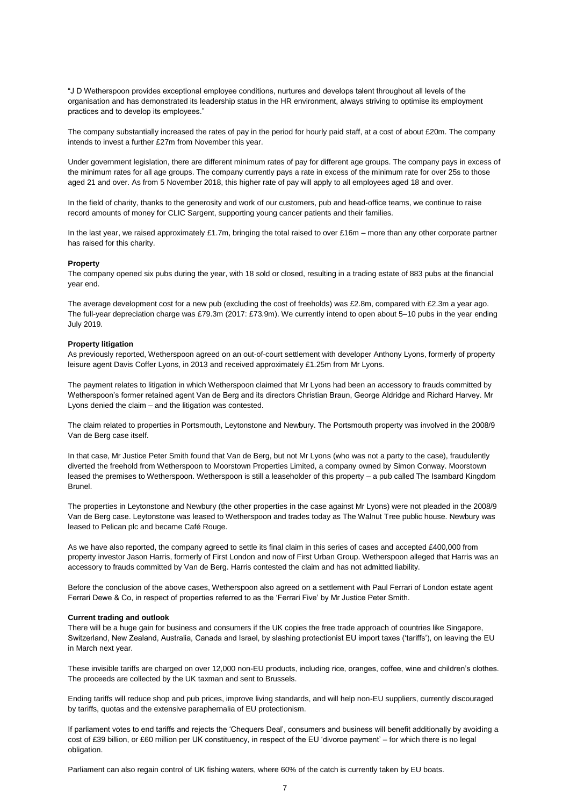"J D Wetherspoon provides exceptional employee conditions, nurtures and develops talent throughout all levels of the organisation and has demonstrated its leadership status in the HR environment, always striving to optimise its employment practices and to develop its employees."

The company substantially increased the rates of pay in the period for hourly paid staff, at a cost of about £20m. The company intends to invest a further £27m from November this year.

Under government legislation, there are different minimum rates of pay for different age groups. The company pays in excess of the minimum rates for all age groups. The company currently pays a rate in excess of the minimum rate for over 25s to those aged 21 and over. As from 5 November 2018, this higher rate of pay will apply to all employees aged 18 and over.

In the field of charity, thanks to the generosity and work of our customers, pub and head-office teams, we continue to raise record amounts of money for CLIC Sargent, supporting young cancer patients and their families.

In the last year, we raised approximately £1.7m, bringing the total raised to over £16m – more than any other corporate partner has raised for this charity.

#### **Property**

The company opened six pubs during the year, with 18 sold or closed, resulting in a trading estate of 883 pubs at the financial year end.

The average development cost for a new pub (excluding the cost of freeholds) was £2.8m, compared with £2.3m a year ago. The full-year depreciation charge was £79.3m (2017: £73.9m). We currently intend to open about 5–10 pubs in the year ending July 2019.

#### **Property litigation**

As previously reported, Wetherspoon agreed on an out-of-court settlement with developer Anthony Lyons, formerly of property leisure agent Davis Coffer Lyons, in 2013 and received approximately £1.25m from Mr Lyons.

The payment relates to litigation in which Wetherspoon claimed that Mr Lyons had been an accessory to frauds committed by Wetherspoon's former retained agent Van de Berg and its directors Christian Braun, George Aldridge and Richard Harvey. Mr Lyons denied the claim – and the litigation was contested.

The claim related to properties in Portsmouth, Leytonstone and Newbury. The Portsmouth property was involved in the 2008/9 Van de Berg case itself.

In that case, Mr Justice Peter Smith found that Van de Berg, but not Mr Lyons (who was not a party to the case), fraudulently diverted the freehold from Wetherspoon to Moorstown Properties Limited, a company owned by Simon Conway. Moorstown leased the premises to Wetherspoon. Wetherspoon is still a leaseholder of this property – a pub called The Isambard Kingdom Brunel.

The properties in Leytonstone and Newbury (the other properties in the case against Mr Lyons) were not pleaded in the 2008/9 Van de Berg case. Leytonstone was leased to Wetherspoon and trades today as The Walnut Tree public house. Newbury was leased to Pelican plc and became Café Rouge.

As we have also reported, the company agreed to settle its final claim in this series of cases and accepted £400,000 from property investor Jason Harris, formerly of First London and now of First Urban Group. Wetherspoon alleged that Harris was an accessory to frauds committed by Van de Berg. Harris contested the claim and has not admitted liability.

Before the conclusion of the above cases, Wetherspoon also agreed on a settlement with Paul Ferrari of London estate agent Ferrari Dewe & Co, in respect of properties referred to as the 'Ferrari Five' by Mr Justice Peter Smith.

#### **Current trading and outlook**

There will be a huge gain for business and consumers if the UK copies the free trade approach of countries like Singapore, Switzerland, New Zealand, Australia, Canada and Israel, by slashing protectionist EU import taxes ('tariffs'), on leaving the EU in March next year.

These invisible tariffs are charged on over 12,000 non-EU products, including rice, oranges, coffee, wine and children's clothes. The proceeds are collected by the UK taxman and sent to Brussels.

Ending tariffs will reduce shop and pub prices, improve living standards, and will help non-EU suppliers, currently discouraged by tariffs, quotas and the extensive paraphernalia of EU protectionism.

If parliament votes to end tariffs and rejects the 'Chequers Deal', consumers and business will benefit additionally by avoiding a cost of £39 billion, or £60 million per UK constituency, in respect of the EU 'divorce payment' – for which there is no legal obligation.

Parliament can also regain control of UK fishing waters, where 60% of the catch is currently taken by EU boats.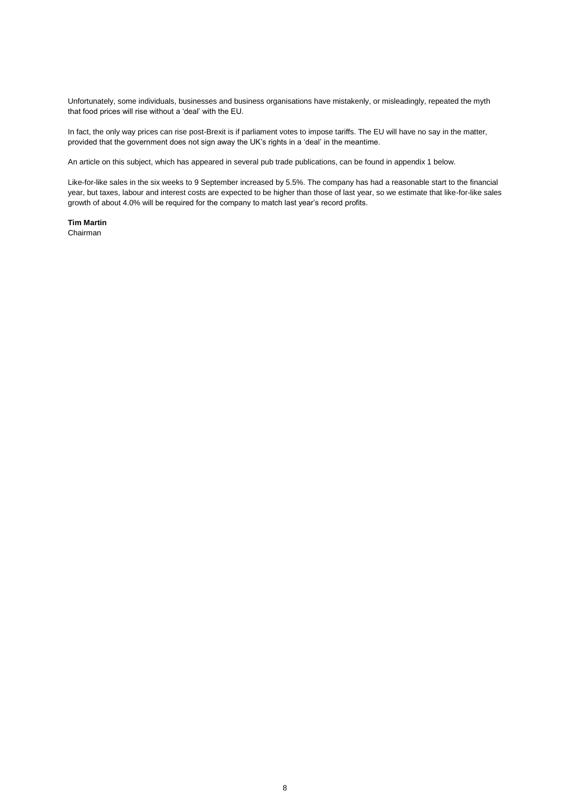Unfortunately, some individuals, businesses and business organisations have mistakenly, or misleadingly, repeated the myth that food prices will rise without a 'deal' with the EU.

In fact, the only way prices can rise post-Brexit is if parliament votes to impose tariffs. The EU will have no say in the matter, provided that the government does not sign away the UK's rights in a 'deal' in the meantime.

An article on this subject, which has appeared in several pub trade publications, can be found in appendix 1 below.

Like-for-like sales in the six weeks to 9 September increased by 5.5%. The company has had a reasonable start to the financial year, but taxes, labour and interest costs are expected to be higher than those of last year, so we estimate that like-for-like sales growth of about 4.0% will be required for the company to match last year's record profits.

**Tim Martin** Chairman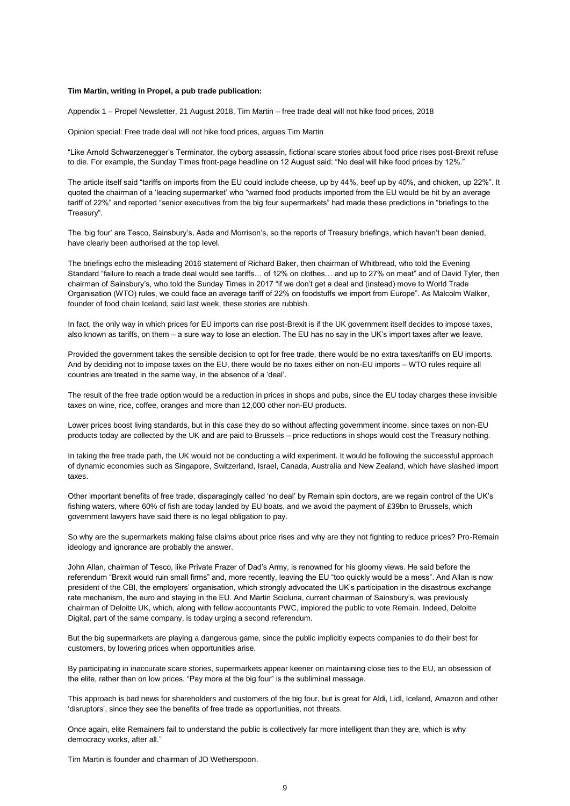#### **Tim Martin, writing in Propel, a pub trade publication:**

Appendix 1 – Propel Newsletter, 21 August 2018, Tim Martin – free trade deal will not hike food prices, 2018

Opinion special: Free trade deal will not hike food prices, argues Tim Martin

"Like Arnold Schwarzenegger's Terminator, the cyborg assassin, fictional scare stories about food price rises post-Brexit refuse to die. For example, the Sunday Times front-page headline on 12 August said: "No deal will hike food prices by 12%."

The article itself said "tariffs on imports from the EU could include cheese, up by 44%, beef up by 40%, and chicken, up 22%". It quoted the chairman of a 'leading supermarket' who "warned food products imported from the EU would be hit by an average tariff of 22%" and reported "senior executives from the big four supermarkets" had made these predictions in "briefings to the Treasury".

The 'big four' are Tesco, Sainsbury's, Asda and Morrison's, so the reports of Treasury briefings, which haven't been denied, have clearly been authorised at the top level.

The briefings echo the misleading 2016 statement of Richard Baker, then chairman of Whitbread, who told the Evening Standard "failure to reach a trade deal would see tariffs… of 12% on clothes… and up to 27% on meat" and of David Tyler, then chairman of Sainsbury's, who told the Sunday Times in 2017 "if we don't get a deal and (instead) move to World Trade Organisation (WTO) rules, we could face an average tariff of 22% on foodstuffs we import from Europe". As Malcolm Walker, founder of food chain Iceland, said last week, these stories are rubbish.

In fact, the only way in which prices for EU imports can rise post-Brexit is if the UK government itself decides to impose taxes, also known as tariffs, on them – a sure way to lose an election. The EU has no say in the UK's import taxes after we leave.

Provided the government takes the sensible decision to opt for free trade, there would be no extra taxes/tariffs on EU imports. And by deciding not to impose taxes on the EU, there would be no taxes either on non-EU imports – WTO rules require all countries are treated in the same way, in the absence of a 'deal'.

The result of the free trade option would be a reduction in prices in shops and pubs, since the EU today charges these invisible taxes on wine, rice, coffee, oranges and more than 12,000 other non-EU products.

Lower prices boost living standards, but in this case they do so without affecting government income, since taxes on non-EU products today are collected by the UK and are paid to Brussels – price reductions in shops would cost the Treasury nothing.

In taking the free trade path, the UK would not be conducting a wild experiment. It would be following the successful approach of dynamic economies such as Singapore, Switzerland, Israel, Canada, Australia and New Zealand, which have slashed import taxes.

Other important benefits of free trade, disparagingly called 'no deal' by Remain spin doctors, are we regain control of the UK's fishing waters, where 60% of fish are today landed by EU boats, and we avoid the payment of £39bn to Brussels, which government lawyers have said there is no legal obligation to pay.

So why are the supermarkets making false claims about price rises and why are they not fighting to reduce prices? Pro-Remain ideology and ignorance are probably the answer.

John Allan, chairman of Tesco, like Private Frazer of Dad's Army, is renowned for his gloomy views. He said before the referendum "Brexit would ruin small firms" and, more recently, leaving the EU "too quickly would be a mess". And Allan is now president of the CBI, the employers' organisation, which strongly advocated the UK's participation in the disastrous exchange rate mechanism, the euro and staying in the EU. And Martin Scicluna, current chairman of Sainsbury's, was previously chairman of Deloitte UK, which, along with fellow accountants PWC, implored the public to vote Remain. Indeed, Deloitte Digital, part of the same company, is today urging a second referendum.

But the big supermarkets are playing a dangerous game, since the public implicitly expects companies to do their best for customers, by lowering prices when opportunities arise.

By participating in inaccurate scare stories, supermarkets appear keener on maintaining close ties to the EU, an obsession of the elite, rather than on low prices. "Pay more at the big four" is the subliminal message.

This approach is bad news for shareholders and customers of the big four, but is great for Aldi, Lidl, Iceland, Amazon and other 'disruptors', since they see the benefits of free trade as opportunities, not threats.

Once again, elite Remainers fail to understand the public is collectively far more intelligent than they are, which is why democracy works, after all."

Tim Martin is founder and chairman of JD Wetherspoon.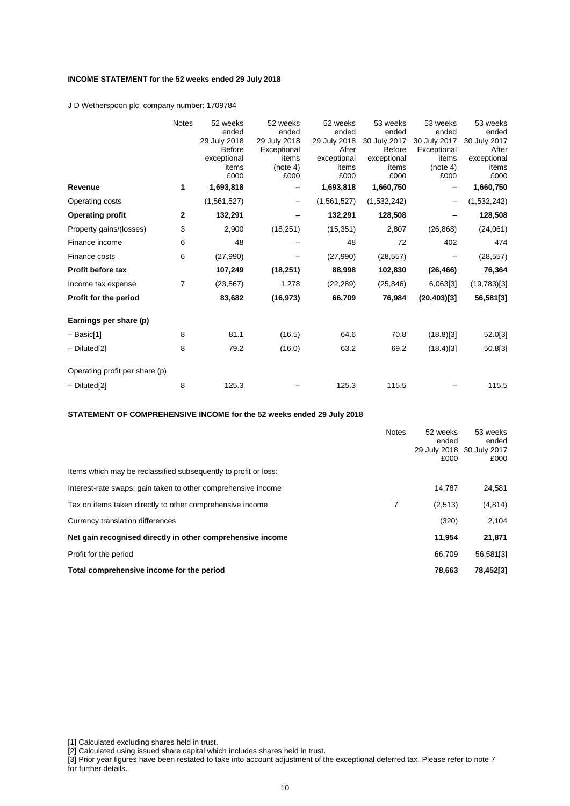# **INCOME STATEMENT for the 52 weeks ended 29 July 2018**

J D Wetherspoon plc, company number: 1709784

|                                | <b>Notes</b> | 52 weeks      | 52 weeks     | 52 weeks     | 53 weeks      | 53 weeks     | 53 weeks     |
|--------------------------------|--------------|---------------|--------------|--------------|---------------|--------------|--------------|
|                                |              | ended         | ended        | ended        | ended         | ended        | ended        |
|                                |              | 29 July 2018  | 29 July 2018 | 29 July 2018 | 30 July 2017  | 30 July 2017 | 30 July 2017 |
|                                |              | <b>Before</b> | Exceptional  | After        | <b>Before</b> | Exceptional  | After        |
|                                |              | exceptional   | items        | exceptional  | exceptional   | items        | exceptional  |
|                                |              | items         | (note 4)     | items        | items         | (note 4)     | items        |
|                                |              | £000          | £000         | £000         | £000          | £000         | £000         |
| Revenue                        | 1            | 1,693,818     |              | 1,693,818    | 1,660,750     |              | 1,660,750    |
| Operating costs                |              | (1,561,527)   |              | (1,561,527)  | (1,532,242)   | -            | (1,532,242)  |
| <b>Operating profit</b>        | $\mathbf{2}$ | 132,291       |              | 132,291      | 128,508       |              | 128,508      |
| Property gains/(losses)        | 3            | 2,900         | (18, 251)    | (15, 351)    | 2,807         | (26, 868)    | (24,061)     |
| Finance income                 | 6            | 48            |              | 48           | 72            | 402          | 474          |
| Finance costs                  | 6            | (27, 990)     |              | (27,990)     | (28, 557)     |              | (28, 557)    |
| Profit before tax              |              | 107,249       | (18, 251)    | 88,998       | 102,830       | (26, 466)    | 76,364       |
| Income tax expense             | 7            | (23, 567)     | 1,278        | (22, 289)    | (25, 846)     | 6,063[3]     | (19, 783)[3] |
| Profit for the period          |              | 83,682        | (16, 973)    | 66,709       | 76,984        | (20, 403)[3] | 56,581[3]    |
| Earnings per share (p)         |              |               |              |              |               |              |              |
| – Basic[1]                     | 8            | 81.1          | (16.5)       | 64.6         | 70.8          | (18.8)[3]    | 52.0[3]      |
| - Diluted[2]                   | 8            | 79.2          | (16.0)       | 63.2         | 69.2          | (18.4)[3]    | 50.8[3]      |
| Operating profit per share (p) |              |               |              |              |               |              |              |
|                                |              |               |              |              |               |              |              |
| $-$ Diluted[2]                 | 8            | 125.3         |              | 125.3        | 115.5         |              | 115.5        |

**STATEMENT OF COMPREHENSIVE INCOME for the 52 weeks ended 29 July 2018**

| Items which may be reclassified subsequently to profit or loss: | <b>Notes</b> | 52 weeks<br>ended<br>29 July 2018 30 July 2017<br>£000 | 53 weeks<br>ended<br>£000 |
|-----------------------------------------------------------------|--------------|--------------------------------------------------------|---------------------------|
| Interest-rate swaps: gain taken to other comprehensive income   |              | 14.787                                                 | 24,581                    |
| Tax on items taken directly to other comprehensive income       | 7            | (2,513)                                                | (4, 814)                  |
| Currency translation differences                                |              | (320)                                                  | 2,104                     |
| Net gain recognised directly in other comprehensive income      |              | 11,954                                                 | 21,871                    |
| Profit for the period                                           |              | 66.709                                                 | 56,581[3]                 |
| Total comprehensive income for the period                       |              | 78.663                                                 | 78,452[3]                 |

<sup>[1]</sup> Calculated excluding shares held in trust.

<sup>[2]</sup> Calculated using issued share capital which includes shares held in trust.

<sup>[3]</sup> Prior year figures have been restated to take into account adjustment of the exceptional deferred tax. Please refer to note 7 for further details.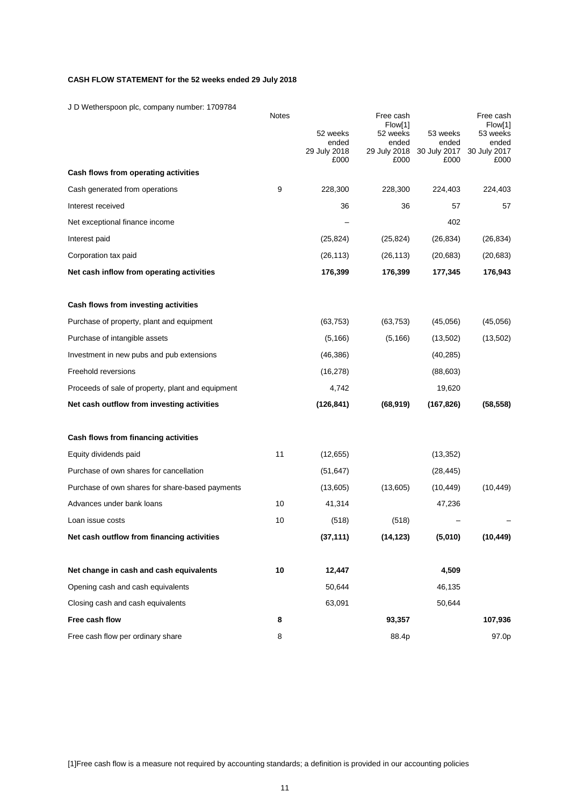# **CASH FLOW STATEMENT for the 52 weeks ended 29 July 2018**

J D Wetherspoon plc, company number: 1709784

|                                                   | Notes |                       | Free cash<br>Flow[1]  |                       | Free cash<br>Flow[1]  |
|---------------------------------------------------|-------|-----------------------|-----------------------|-----------------------|-----------------------|
|                                                   |       | 52 weeks              | 52 weeks              | 53 weeks              | 53 weeks              |
|                                                   |       | ended<br>29 July 2018 | ended<br>29 July 2018 | ended<br>30 July 2017 | ended<br>30 July 2017 |
|                                                   |       | £000                  | £000                  | £000                  | £000                  |
| Cash flows from operating activities              |       |                       |                       |                       |                       |
| Cash generated from operations                    | 9     | 228,300               | 228,300               | 224,403               | 224,403               |
| Interest received                                 |       | 36                    | 36                    | 57                    | 57                    |
| Net exceptional finance income                    |       |                       |                       | 402                   |                       |
| Interest paid                                     |       | (25, 824)             | (25, 824)             | (26, 834)             | (26, 834)             |
| Corporation tax paid                              |       | (26, 113)             | (26, 113)             | (20, 683)             | (20, 683)             |
| Net cash inflow from operating activities         |       | 176,399               | 176,399               | 177,345               | 176,943               |
| Cash flows from investing activities              |       |                       |                       |                       |                       |
| Purchase of property, plant and equipment         |       | (63, 753)             | (63, 753)             | (45,056)              | (45,056)              |
| Purchase of intangible assets                     |       | (5, 166)              | (5, 166)              | (13,502)              | (13,502)              |
| Investment in new pubs and pub extensions         |       | (46, 386)             |                       | (40, 285)             |                       |
| Freehold reversions                               |       | (16, 278)             |                       | (88, 603)             |                       |
| Proceeds of sale of property, plant and equipment |       | 4,742                 |                       | 19,620                |                       |
| Net cash outflow from investing activities        |       | (126, 841)            | (68, 919)             | (167, 826)            | (58, 558)             |
| Cash flows from financing activities              |       |                       |                       |                       |                       |
| Equity dividends paid                             | 11    | (12, 655)             |                       | (13, 352)             |                       |
| Purchase of own shares for cancellation           |       | (51, 647)             |                       | (28, 445)             |                       |
| Purchase of own shares for share-based payments   |       | (13,605)              | (13,605)              | (10, 449)             | (10, 449)             |
| Advances under bank loans                         | 10    | 41,314                |                       | 47,236                |                       |
| Loan issue costs                                  | 10    | (518)                 | (518)                 |                       |                       |
| Net cash outflow from financing activities        |       | (37, 111)             | (14, 123)             | (5,010)               | (10, 449)             |
| Net change in cash and cash equivalents           | 10    | 12,447                |                       | 4,509                 |                       |
| Opening cash and cash equivalents                 |       | 50,644                |                       | 46,135                |                       |
| Closing cash and cash equivalents                 |       | 63,091                |                       | 50.644                |                       |
| Free cash flow                                    | 8     |                       | 93,357                |                       | 107,936               |
| Free cash flow per ordinary share                 | 8     |                       | 88.4p                 |                       | 97.0p                 |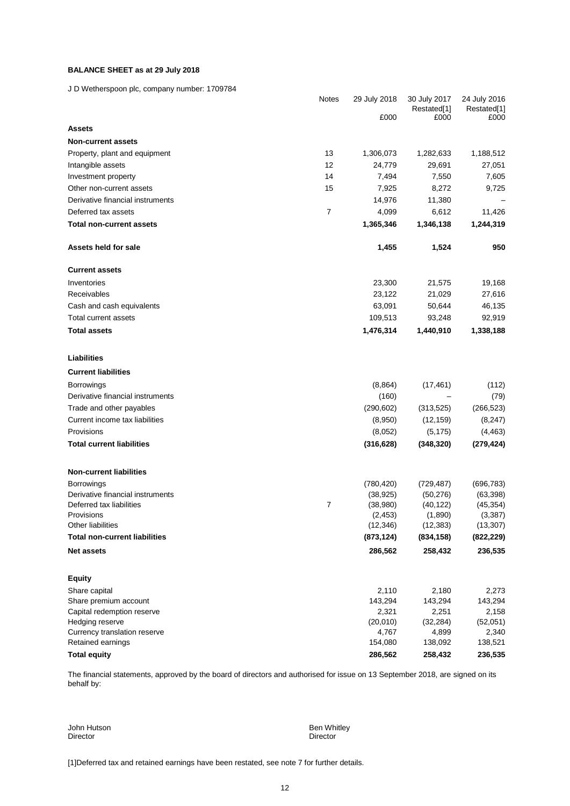# **BALANCE SHEET as at 29 July 2018**

J D Wetherspoon plc, company number: 1709784

|                                      | Notes          | 29 July 2018 | 30 July 2017 | 24 July 2016 |
|--------------------------------------|----------------|--------------|--------------|--------------|
|                                      |                |              | Restated[1]  | Restated[1]  |
|                                      |                | £000         | £000         | £000         |
| <b>Assets</b>                        |                |              |              |              |
| <b>Non-current assets</b>            |                |              |              |              |
| Property, plant and equipment        | 13             | 1,306,073    | 1,282,633    | 1,188,512    |
| Intangible assets                    | 12             | 24,779       | 29,691       | 27,051       |
| Investment property                  | 14             | 7,494        | 7,550        | 7,605        |
| Other non-current assets             | 15             | 7,925        | 8,272        | 9,725        |
| Derivative financial instruments     |                | 14,976       | 11,380       |              |
| Deferred tax assets                  | $\overline{7}$ | 4,099        | 6,612        | 11,426       |
| <b>Total non-current assets</b>      |                | 1,365,346    | 1,346,138    | 1,244,319    |
| Assets held for sale                 |                | 1,455        | 1,524        | 950          |
| <b>Current assets</b>                |                |              |              |              |
| Inventories                          |                | 23,300       | 21,575       | 19,168       |
| Receivables                          |                | 23,122       | 21,029       | 27,616       |
| Cash and cash equivalents            |                | 63,091       | 50,644       | 46,135       |
| Total current assets                 |                | 109,513      | 93,248       | 92,919       |
| <b>Total assets</b>                  |                | 1,476,314    | 1,440,910    | 1,338,188    |
| Liabilities                          |                |              |              |              |
|                                      |                |              |              |              |
| <b>Current liabilities</b>           |                |              |              |              |
| <b>Borrowings</b>                    |                | (8, 864)     | (17, 461)    | (112)        |
| Derivative financial instruments     |                | (160)        |              | (79)         |
| Trade and other payables             |                | (290, 602)   | (313, 525)   | (266, 523)   |
| Current income tax liabilities       |                | (8,950)      | (12, 159)    | (8, 247)     |
| Provisions                           |                | (8,052)      | (5, 175)     | (4, 463)     |
| <b>Total current liabilities</b>     |                | (316, 628)   | (348, 320)   | (279, 424)   |
| <b>Non-current liabilities</b>       |                |              |              |              |
| <b>Borrowings</b>                    |                | (780, 420)   | (729, 487)   | (696, 783)   |
| Derivative financial instruments     |                | (38, 925)    | (50, 276)    | (63, 398)    |
| Deferred tax liabilities             | $\overline{7}$ | (38,980)     | (40, 122)    | (45, 354)    |
| Provisions                           |                | (2, 453)     | (1,890)      | (3, 387)     |
| Other liabilities                    |                | (12, 346)    | (12, 383)    | (13, 307)    |
| <b>Total non-current liabilities</b> |                | (873, 124)   | (834, 158)   | (822, 229)   |
| <b>Net assets</b>                    |                | 286,562      | 258,432      | 236,535      |
| <b>Equity</b>                        |                |              |              |              |
| Share capital                        |                | 2,110        | 2,180        | 2,273        |
| Share premium account                |                | 143,294      | 143,294      | 143,294      |
| Capital redemption reserve           |                | 2,321        | 2,251        | 2,158        |
| Hedging reserve                      |                | (20,010)     | (32, 284)    | (52,051)     |
| Currency translation reserve         |                | 4,767        | 4,899        | 2,340        |
| Retained earnings                    |                | 154,080      | 138,092      | 138,521      |
| <b>Total equity</b>                  |                | 286,562      | 258,432      | 236,535      |

The financial statements, approved by the board of directors and authorised for issue on 13 September 2018, are signed on its behalf by:

John Hutson Ben Whitley

Director

[1]Deferred tax and retained earnings have been restated, see note 7 for further details.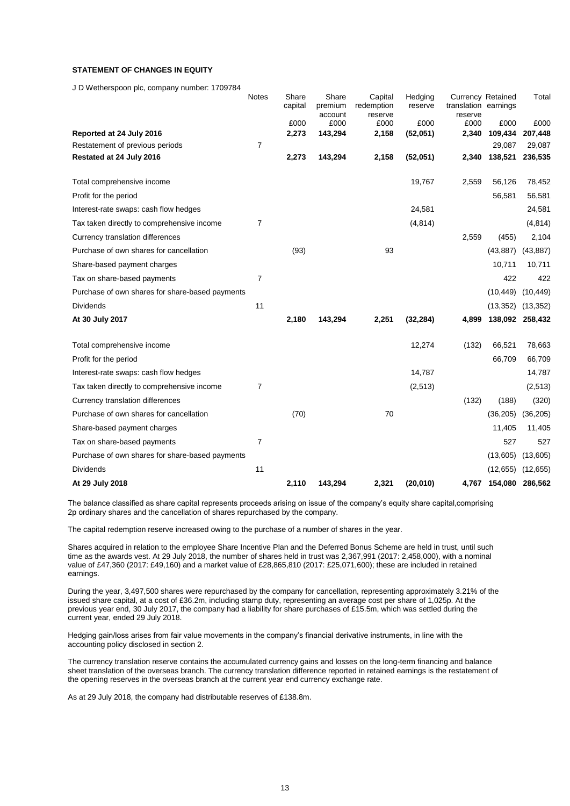# **STATEMENT OF CHANGES IN EQUITY**

J D Wetherspoon plc, company number: 1709784

|                                                 | <b>Notes</b>   | Share<br>capital | Share<br>premium | Capital<br>redemption | Hedging<br>reserve | <b>Currency Retained</b><br>translation earnings |                 | Total           |
|-------------------------------------------------|----------------|------------------|------------------|-----------------------|--------------------|--------------------------------------------------|-----------------|-----------------|
|                                                 |                |                  | account          | reserve               |                    | reserve                                          |                 |                 |
|                                                 |                | £000             | £000             | £000                  | £000               | £000                                             | £000            | £000            |
| Reported at 24 July 2016                        |                | 2,273            | 143,294          | 2,158                 | (52,051)           | 2,340                                            | 109,434         | 207,448         |
| Restatement of previous periods                 | $\overline{7}$ |                  |                  |                       |                    |                                                  | 29,087          | 29,087          |
| Restated at 24 July 2016                        |                | 2,273            | 143,294          | 2,158                 | (52,051)           | 2,340                                            | 138,521         | 236,535         |
| Total comprehensive income                      |                |                  |                  |                       | 19,767             | 2,559                                            | 56,126          | 78,452          |
| Profit for the period                           |                |                  |                  |                       |                    |                                                  | 56,581          | 56,581          |
| Interest-rate swaps: cash flow hedges           |                |                  |                  |                       | 24,581             |                                                  |                 | 24,581          |
| Tax taken directly to comprehensive income      | $\overline{7}$ |                  |                  |                       | (4, 814)           |                                                  |                 | (4, 814)        |
| Currency translation differences                |                |                  |                  |                       |                    | 2,559                                            | (455)           | 2,104           |
| Purchase of own shares for cancellation         |                | (93)             |                  | 93                    |                    |                                                  | (43, 887)       | (43, 887)       |
| Share-based payment charges                     |                |                  |                  |                       |                    |                                                  | 10,711          | 10,711          |
| Tax on share-based payments                     | $\overline{7}$ |                  |                  |                       |                    |                                                  | 422             | 422             |
| Purchase of own shares for share-based payments |                |                  |                  |                       |                    |                                                  | (10, 449)       | (10, 449)       |
| <b>Dividends</b>                                | 11             |                  |                  |                       |                    |                                                  | (13, 352)       | (13, 352)       |
| At 30 July 2017                                 |                | 2,180            | 143,294          | 2,251                 | (32, 284)          | 4,899                                            |                 | 138,092 258,432 |
| Total comprehensive income                      |                |                  |                  |                       | 12,274             | (132)                                            | 66,521          | 78,663          |
| Profit for the period                           |                |                  |                  |                       |                    |                                                  | 66,709          | 66,709          |
| Interest-rate swaps: cash flow hedges           |                |                  |                  |                       | 14,787             |                                                  |                 | 14,787          |
| Tax taken directly to comprehensive income      | 7              |                  |                  |                       | (2, 513)           |                                                  |                 | (2,513)         |
| Currency translation differences                |                |                  |                  |                       |                    | (132)                                            | (188)           | (320)           |
| Purchase of own shares for cancellation         |                | (70)             |                  | 70                    |                    |                                                  | (36, 205)       | (36, 205)       |
| Share-based payment charges                     |                |                  |                  |                       |                    |                                                  | 11,405          | 11,405          |
| Tax on share-based payments                     | $\overline{7}$ |                  |                  |                       |                    |                                                  | 527             | 527             |
| Purchase of own shares for share-based payments |                |                  |                  |                       |                    |                                                  | (13,605)        | (13,605)        |
| Dividends                                       | 11             |                  |                  |                       |                    |                                                  | (12, 655)       | (12, 655)       |
| At 29 July 2018                                 |                | 2,110            | 143,294          | 2,321                 | (20, 010)          | 4,767                                            | 154,080 286,562 |                 |

The balance classified as share capital represents proceeds arising on issue of the company's equity share capital,comprising 2p ordinary shares and the cancellation of shares repurchased by the company.

The capital redemption reserve increased owing to the purchase of a number of shares in the year.

Shares acquired in relation to the employee Share Incentive Plan and the Deferred Bonus Scheme are held in trust, until such time as the awards vest. At 29 July 2018, the number of shares held in trust was 2,367,991 (2017: 2,458,000), with a nominal value of £47,360 (2017: £49,160) and a market value of £28,865,810 (2017: £25,071,600); these are included in retained earnings.

During the year, 3,497,500 shares were repurchased by the company for cancellation, representing approximately 3.21% of the issued share capital, at a cost of £36.2m, including stamp duty, representing an average cost per share of 1,025p. At the previous year end, 30 July 2017, the company had a liability for share purchases of £15.5m, which was settled during the current year, ended 29 July 2018.

Hedging gain/loss arises from fair value movements in the company's financial derivative instruments, in line with the accounting policy disclosed in section 2.

The currency translation reserve contains the accumulated currency gains and losses on the long-term financing and balance sheet translation of the overseas branch. The currency translation difference reported in retained earnings is the restatement of the opening reserves in the overseas branch at the current year end currency exchange rate.

As at 29 July 2018, the company had distributable reserves of £138.8m.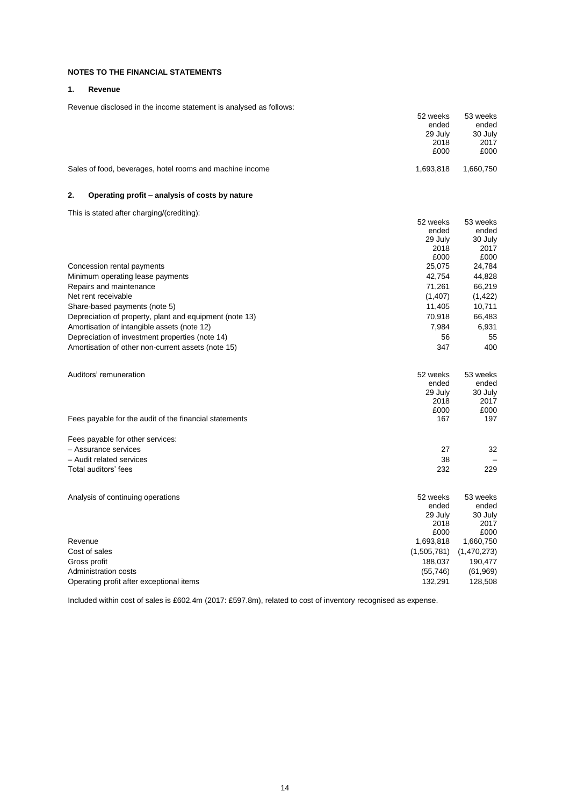# **NOTES TO THE FINANCIAL STATEMENTS**

# **1. Revenue**

Revenue disclosed in the income statement is analysed as follows:

| Revenue disclosed in the income statement is analysed as follows. | 52 weeks<br>ended        | 53 weeks<br>ended        |
|-------------------------------------------------------------------|--------------------------|--------------------------|
|                                                                   | 29 July                  | 30 July                  |
|                                                                   | 2018                     | 2017                     |
|                                                                   | £000                     | £000                     |
| Sales of food, beverages, hotel rooms and machine income          | 1,693,818                | 1,660,750                |
| 2.<br>Operating profit – analysis of costs by nature              |                          |                          |
| This is stated after charging/(crediting):                        |                          |                          |
|                                                                   | 52 weeks                 | 53 weeks                 |
|                                                                   | ended                    | ended                    |
|                                                                   | 29 July<br>2018          | 30 July<br>2017          |
|                                                                   | £000                     | £000                     |
| Concession rental payments                                        | 25,075                   | 24,784                   |
| Minimum operating lease payments                                  | 42,754                   | 44,828                   |
| Repairs and maintenance                                           | 71,261                   | 66,219                   |
| Net rent receivable                                               | (1,407)                  | (1, 422)                 |
| Share-based payments (note 5)                                     | 11,405                   | 10,711                   |
| Depreciation of property, plant and equipment (note 13)           | 70,918                   | 66,483                   |
| Amortisation of intangible assets (note 12)                       | 7,984                    | 6,931                    |
| Depreciation of investment properties (note 14)                   | 56                       | 55                       |
| Amortisation of other non-current assets (note 15)                | 347                      | 400                      |
| Auditors' remuneration                                            | 52 weeks                 | 53 weeks                 |
|                                                                   | ended                    | ended                    |
|                                                                   | 29 July                  | 30 July                  |
|                                                                   | 2018<br>£000             | 2017<br>£000             |
| Fees payable for the audit of the financial statements            | 167                      | 197                      |
|                                                                   |                          |                          |
| Fees payable for other services:                                  |                          |                          |
| - Assurance services                                              | 27                       | 32                       |
| - Audit related services                                          | 38                       |                          |
| Total auditors' fees                                              | 232                      | 229                      |
| Analysis of continuing operations                                 | 52 weeks                 | 53 weeks                 |
|                                                                   | ended                    | ended                    |
|                                                                   | 29 July                  | 30 July                  |
|                                                                   | 2018                     | 2017                     |
|                                                                   | £000                     | £000                     |
| Revenue<br>Cost of sales                                          | 1,693,818<br>(1,505,781) | 1,660,750<br>(1,470,273) |
| Gross profit                                                      | 188,037                  | 190,477                  |
| Administration costs                                              | (55, 746)                | (61, 969)                |
| Operating profit after exceptional items                          | 132,291                  | 128,508                  |
|                                                                   |                          |                          |

Included within cost of sales is £602.4m (2017: £597.8m), related to cost of inventory recognised as expense.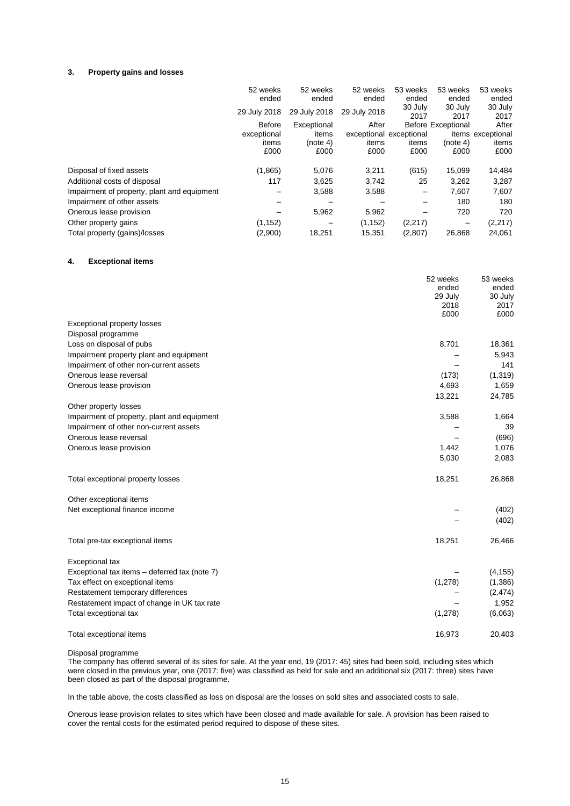#### **3. Property gains and losses**

|                                             | 52 weeks<br>ended | 52 weeks<br>ended | 52 weeks<br>ended       | 53 weeks<br>ended | 53 weeks<br>ended         | 53 weeks<br>ended |
|---------------------------------------------|-------------------|-------------------|-------------------------|-------------------|---------------------------|-------------------|
|                                             | 29 July 2018      | 29 July 2018      | 29 July 2018            | 30 July<br>2017   | 30 July<br>2017           | 30 July<br>2017   |
|                                             | <b>Before</b>     | Exceptional       | After                   |                   | <b>Before Exceptional</b> | After             |
|                                             | exceptional       | items             | exceptional exceptional |                   |                           | items exceptional |
|                                             | items             | (note 4)          | items                   | items             | (note 4)                  | items             |
|                                             | £000              | £000              | £000                    | £000              | £000                      | £000              |
| Disposal of fixed assets                    | (1,865)           | 5,076             | 3,211                   | (615)             | 15,099                    | 14,484            |
| Additional costs of disposal                | 117               | 3,625             | 3,742                   | 25                | 3,262                     | 3,287             |
| Impairment of property, plant and equipment |                   | 3,588             | 3,588                   | -                 | 7.607                     | 7,607             |
| Impairment of other assets                  |                   |                   |                         |                   | 180                       | 180               |
| Onerous lease provision                     |                   | 5,962             | 5,962                   |                   | 720                       | 720               |
| Other property gains                        | (1, 152)          |                   | (1, 152)                | (2,217)           | -                         | (2, 217)          |
| Total property (gains)/losses               | (2,900)           | 18.251            | 15.351                  | (2,807)           | 26.868                    | 24,061            |

# **4. Exceptional items**

|                                               | 52 weeks<br>ended<br>29 July<br>2018<br>£000 | 53 weeks<br>ended<br>30 July<br>2017<br>£000 |
|-----------------------------------------------|----------------------------------------------|----------------------------------------------|
| <b>Exceptional property losses</b>            |                                              |                                              |
| Disposal programme                            |                                              |                                              |
| Loss on disposal of pubs                      | 8,701                                        | 18,361                                       |
| Impairment property plant and equipment       |                                              | 5,943                                        |
| Impairment of other non-current assets        |                                              | 141                                          |
| Onerous lease reversal                        | (173)                                        | (1,319)                                      |
| Onerous lease provision                       | 4,693                                        | 1,659                                        |
|                                               | 13,221                                       | 24,785                                       |
| Other property losses                         |                                              |                                              |
| Impairment of property, plant and equipment   | 3,588                                        | 1,664                                        |
| Impairment of other non-current assets        |                                              | 39                                           |
| Onerous lease reversal                        |                                              | (696)                                        |
| Onerous lease provision                       | 1,442                                        | 1,076                                        |
|                                               | 5,030                                        | 2,083                                        |
| Total exceptional property losses             | 18,251                                       | 26,868                                       |
| Other exceptional items                       |                                              |                                              |
| Net exceptional finance income                |                                              | (402)                                        |
|                                               |                                              | (402)                                        |
| Total pre-tax exceptional items               | 18,251                                       | 26,466                                       |
| Exceptional tax                               |                                              |                                              |
| Exceptional tax items - deferred tax (note 7) |                                              | (4, 155)                                     |
| Tax effect on exceptional items               | (1, 278)                                     | (1,386)                                      |
| Restatement temporary differences             |                                              | (2, 474)                                     |
| Restatement impact of change in UK tax rate   |                                              | 1,952                                        |
| Total exceptional tax                         | (1, 278)                                     | (6,063)                                      |
| Total exceptional items                       | 16,973                                       | 20,403                                       |

Disposal programme

The company has offered several of its sites for sale. At the year end, 19 (2017: 45) sites had been sold, including sites which were closed in the previous year, one (2017: five) was classified as held for sale and an additional six (2017: three) sites have been closed as part of the disposal programme.

In the table above, the costs classified as loss on disposal are the losses on sold sites and associated costs to sale.

Onerous lease provision relates to sites which have been closed and made available for sale. A provision has been raised to cover the rental costs for the estimated period required to dispose of these sites.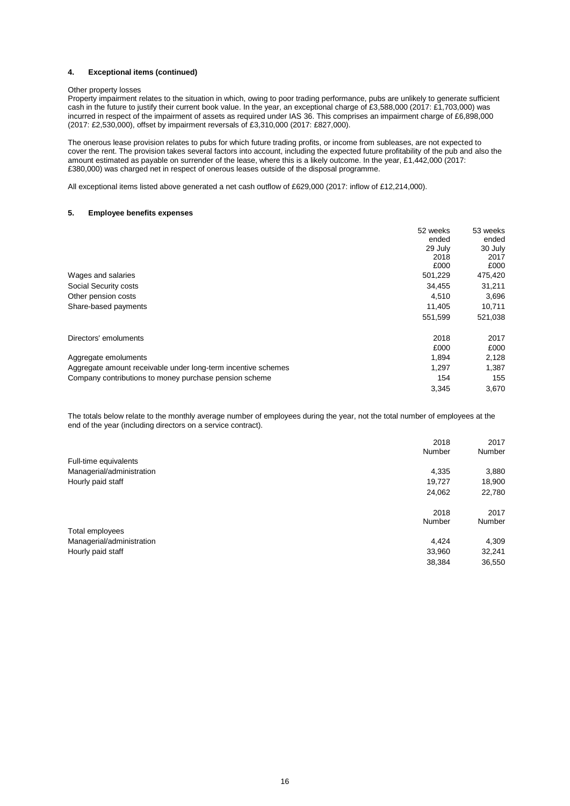#### **4. Exceptional items (continued)**

#### Other property losses

Property impairment relates to the situation in which, owing to poor trading performance, pubs are unlikely to generate sufficient cash in the future to justify their current book value. In the year, an exceptional charge of £3,588,000 (2017: £1,703,000) was incurred in respect of the impairment of assets as required under IAS 36. This comprises an impairment charge of £6,898,000 (2017: £2,530,000), offset by impairment reversals of £3,310,000 (2017: £827,000).

The onerous lease provision relates to pubs for which future trading profits, or income from subleases, are not expected to cover the rent. The provision takes several factors into account, including the expected future profitability of the pub and also the amount estimated as payable on surrender of the lease, where this is a likely outcome. In the year, £1,442,000 (2017: £380,000) was charged net in respect of onerous leases outside of the disposal programme.

All exceptional items listed above generated a net cash outflow of £629,000 (2017: inflow of £12,214,000).

#### **5. Employee benefits expenses**

|                                                               | 52 weeks | 53 weeks |
|---------------------------------------------------------------|----------|----------|
|                                                               | ended    | ended    |
|                                                               | 29 July  | 30 July  |
|                                                               | 2018     | 2017     |
|                                                               | £000     | £000     |
| Wages and salaries                                            | 501,229  | 475,420  |
| Social Security costs                                         | 34,455   | 31,211   |
| Other pension costs                                           | 4,510    | 3,696    |
| Share-based payments                                          | 11.405   | 10,711   |
|                                                               | 551,599  | 521,038  |
| Directors' emoluments                                         | 2018     | 2017     |
|                                                               | £000     | £000     |
| Aggregate emoluments                                          | 1,894    | 2,128    |
| Aggregate amount receivable under long-term incentive schemes | 1,297    | 1,387    |
| Company contributions to money purchase pension scheme        | 154      | 155      |
|                                                               | 3,345    | 3,670    |

The totals below relate to the monthly average number of employees during the year, not the total number of employees at the end of the year (including directors on a service contract).

|                           | 2018   | 2017   |
|---------------------------|--------|--------|
|                           | Number | Number |
| Full-time equivalents     |        |        |
| Managerial/administration | 4,335  | 3,880  |
| Hourly paid staff         | 19,727 | 18,900 |
|                           | 24,062 | 22,780 |
|                           | 2018   | 2017   |
|                           | Number | Number |
| Total employees           |        |        |
| Managerial/administration | 4.424  | 4,309  |
| Hourly paid staff         | 33,960 | 32,241 |
|                           | 38,384 | 36,550 |
|                           |        |        |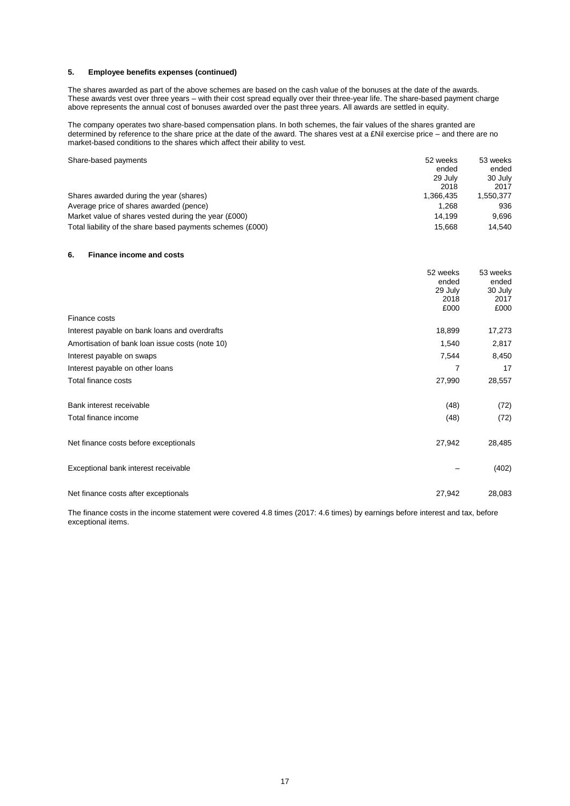## **5. Employee benefits expenses (continued)**

The shares awarded as part of the above schemes are based on the cash value of the bonuses at the date of the awards. These awards vest over three years – with their cost spread equally over their three-year life. The share-based payment charge above represents the annual cost of bonuses awarded over the past three years. All awards are settled in equity.

The company operates two share-based compensation plans. In both schemes, the fair values of the shares granted are determined by reference to the share price at the date of the award. The shares vest at a £Nil exercise price – and there are no market-based conditions to the shares which affect their ability to vest.

| Share-based payments                                       | 52 weeks  | 53 weeks  |
|------------------------------------------------------------|-----------|-----------|
|                                                            | ended     | ended     |
|                                                            | 29 July   | 30 July   |
|                                                            | 2018      | 2017      |
| Shares awarded during the year (shares)                    | 1.366.435 | 1,550,377 |
| Average price of shares awarded (pence)                    | 1.268     | 936       |
| Market value of shares vested during the year (£000)       | 14.199    | 9.696     |
| Total liability of the share based payments schemes (£000) | 15.668    | 14.540    |

#### **6. Finance income and costs**

|                                                 | 52 weeks<br>ended<br>29 July<br>2018<br>£000 | 53 weeks<br>ended<br>30 July<br>2017<br>£000 |
|-------------------------------------------------|----------------------------------------------|----------------------------------------------|
| Finance costs                                   |                                              |                                              |
| Interest payable on bank loans and overdrafts   | 18,899                                       | 17,273                                       |
| Amortisation of bank loan issue costs (note 10) | 1,540                                        | 2,817                                        |
| Interest payable on swaps                       | 7,544                                        | 8,450                                        |
| Interest payable on other loans                 | 7                                            | 17                                           |
| Total finance costs                             | 27,990                                       | 28,557                                       |
| Bank interest receivable                        | (48)                                         | (72)                                         |
| Total finance income                            | (48)                                         | (72)                                         |
| Net finance costs before exceptionals           | 27,942                                       | 28,485                                       |
| Exceptional bank interest receivable            |                                              | (402)                                        |
| Net finance costs after exceptionals            | 27,942                                       | 28,083                                       |

The finance costs in the income statement were covered 4.8 times (2017: 4.6 times) by earnings before interest and tax, before exceptional items.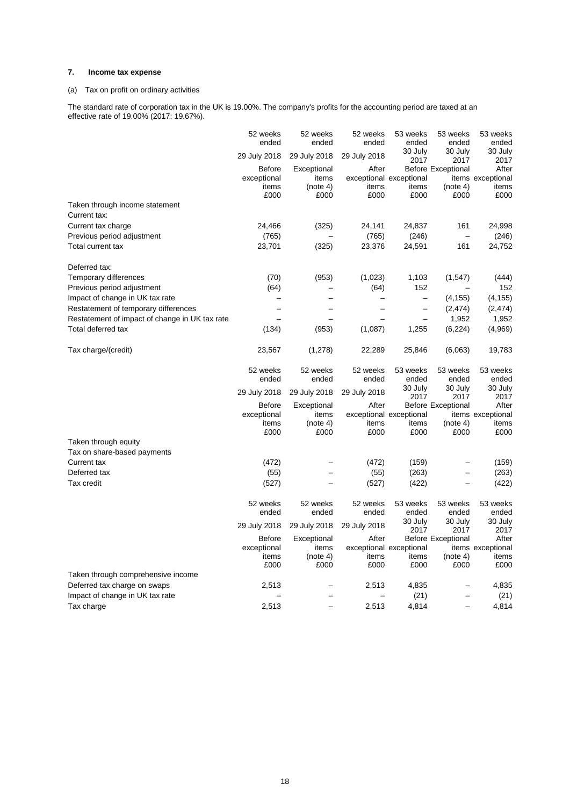# **7. Income tax expense**

# (a) Tax on profit on ordinary activities

The standard rate of corporation tax in the UK is 19.00%. The company's profits for the accounting period are taxed at an effective rate of 19.00% (2017: 19.67%).

|                                                | 52 weeks<br>ended        | 52 weeks<br>ended | 52 weeks<br>ended | 53 weeks<br>ended        | 53 weeks<br>ended         | 53 weeks<br>ended |
|------------------------------------------------|--------------------------|-------------------|-------------------|--------------------------|---------------------------|-------------------|
|                                                | 29 July 2018             | 29 July 2018      | 29 July 2018      | 30 July<br>2017          | 30 July<br>2017           | 30 July<br>2017   |
|                                                | <b>Before</b>            | Exceptional       | After             |                          | <b>Before Exceptional</b> | After             |
|                                                | exceptional              | items             |                   | exceptional exceptional  |                           | items exceptional |
|                                                | items<br>£000            | (note 4)<br>£000  | items<br>£000     | items<br>£000            | (note 4)<br>£000          | items<br>£000     |
| Taken through income statement                 |                          |                   |                   |                          |                           |                   |
| Current tax:                                   |                          |                   |                   |                          |                           |                   |
| Current tax charge                             | 24,466                   | (325)             | 24,141            | 24,837                   | 161                       | 24,998            |
| Previous period adjustment                     | (765)                    |                   | (765)             | (246)                    | $\qquad \qquad -$         | (246)             |
| Total current tax                              | 23,701                   | (325)             | 23,376            | 24,591                   | 161                       | 24,752            |
| Deferred tax:                                  |                          |                   |                   |                          |                           |                   |
| Temporary differences                          | (70)                     | (953)             | (1,023)           | 1,103                    | (1, 547)                  | (444)             |
| Previous period adjustment                     | (64)                     |                   | (64)              | 152                      |                           | 152               |
| Impact of change in UK tax rate                | $\overline{\phantom{0}}$ |                   |                   | $\qquad \qquad -$        | (4, 155)                  | (4, 155)          |
| Restatement of temporary differences           |                          |                   |                   | $\overline{\phantom{0}}$ | (2, 474)                  | (2, 474)          |
| Restatement of impact of change in UK tax rate |                          |                   |                   |                          | 1,952                     | 1,952             |
| Total deferred tax                             | (134)                    | (953)             | (1,087)           | 1,255                    | (6, 224)                  | (4,969)           |
| Tax charge/(credit)                            | 23,567                   | (1,278)           | 22,289            | 25,846                   | (6,063)                   | 19,783            |
|                                                | 52 weeks                 | 52 weeks          | 52 weeks          | 53 weeks                 | 53 weeks                  | 53 weeks          |
|                                                | ended                    | ended             | ended             | ended                    | ended                     | ended             |
|                                                |                          |                   |                   | 30 July                  | 30 July                   | 30 July           |
|                                                | 29 July 2018             | 29 July 2018      | 29 July 2018      | 2017                     | 2017                      | 2017              |
|                                                | <b>Before</b>            | Exceptional       | After             |                          | <b>Before Exceptional</b> | After             |
|                                                | exceptional              | items             |                   | exceptional exceptional  |                           | items exceptional |
|                                                | items<br>£000            | (note 4)<br>£000  | items<br>£000     | items<br>£000            | (note 4)<br>£000          | items<br>£000     |
| Taken through equity                           |                          |                   |                   |                          |                           |                   |
| Tax on share-based payments                    |                          |                   |                   |                          |                           |                   |
| <b>Current tax</b>                             | (472)                    |                   | (472)             | (159)                    |                           | (159)             |
| Deferred tax                                   | (55)                     |                   | (55)              | (263)                    | $\overline{\phantom{0}}$  | (263)             |
| Tax credit                                     | (527)                    |                   | (527)             | (422)                    |                           | (422)             |
|                                                | 52 weeks                 |                   |                   |                          |                           |                   |
|                                                | ended                    | 52 weeks<br>ended | 52 weeks<br>ended | 53 weeks<br>ended        | 53 weeks<br>ended         | 53 weeks<br>ended |
|                                                |                          |                   |                   | 30 July                  | 30 July                   | 30 July           |
|                                                | 29 July 2018             | 29 July 2018      | 29 July 2018      | 2017                     | 2017                      | 2017              |
|                                                | <b>Before</b>            | Exceptional       | After             |                          | <b>Before Exceptional</b> | After             |
|                                                | exceptional              | items             |                   | exceptional exceptional  |                           | items exceptional |
|                                                | items<br>£000            | (note 4)<br>£000  | items<br>£000     | items<br>£000            | (note 4)<br>£000          | items<br>£000     |
| Taken through comprehensive income             |                          |                   |                   |                          |                           |                   |
| Deferred tax charge on swaps                   | 2,513                    |                   | 2,513             | 4,835                    |                           | 4,835             |
| Impact of change in UK tax rate                |                          |                   | —                 | (21)                     | $\qquad \qquad -$         | (21)              |
| Tax charge                                     | 2,513                    |                   | 2,513             | 4,814                    |                           | 4,814             |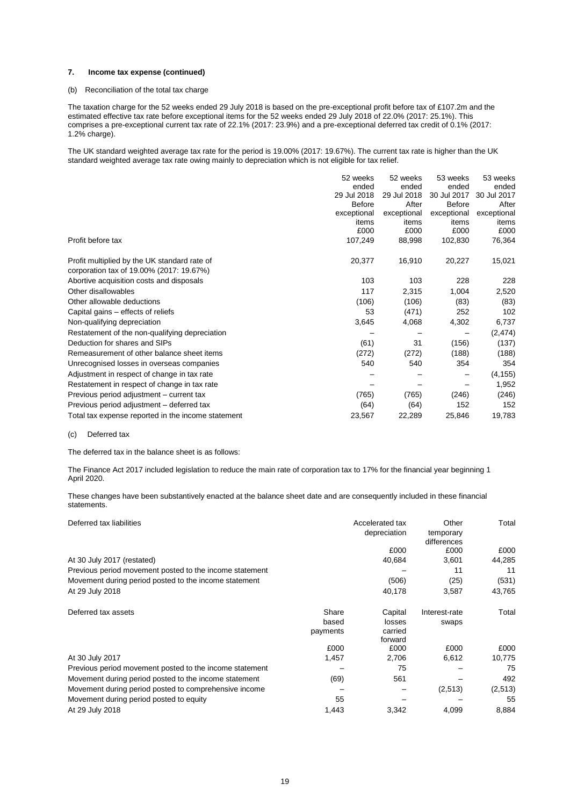#### **7. Income tax expense (continued)**

#### (b) Reconciliation of the total tax charge

The taxation charge for the 52 weeks ended 29 July 2018 is based on the pre-exceptional profit before tax of £107.2m and the estimated effective tax rate before exceptional items for the 52 weeks ended 29 July 2018 of 22.0% (2017: 25.1%). This comprises a pre-exceptional current tax rate of 22.1% (2017: 23.9%) and a pre-exceptional deferred tax credit of 0.1% (2017: 1.2% charge).

The UK standard weighted average tax rate for the period is 19.00% (2017: 19.67%). The current tax rate is higher than the UK standard weighted average tax rate owing mainly to depreciation which is not eligible for tax relief.

|                                                    | 52 weeks      | 52 weeks    | 53 weeks      | 53 weeks    |
|----------------------------------------------------|---------------|-------------|---------------|-------------|
|                                                    | ended         | ended       | ended         | ended       |
|                                                    | 29 Jul 2018   | 29 Jul 2018 | 30 Jul 2017   | 30 Jul 2017 |
|                                                    | <b>Before</b> | After       | <b>Before</b> | After       |
|                                                    | exceptional   | exceptional | exceptional   | exceptional |
|                                                    | items         | items       | items         | items       |
|                                                    | £000          | £000        | £000          | £000        |
| Profit before tax                                  | 107,249       | 88,998      | 102,830       | 76,364      |
| Profit multiplied by the UK standard rate of       | 20,377        | 16,910      | 20,227        | 15,021      |
| corporation tax of 19.00% (2017: 19.67%)           |               |             |               |             |
| Abortive acquisition costs and disposals           | 103           | 103         | 228           | 228         |
| Other disallowables                                | 117           | 2,315       | 1,004         | 2,520       |
| Other allowable deductions                         | (106)         | (106)       | (83)          | (83)        |
| Capital gains – effects of reliefs                 | 53            | (471)       | 252           | 102         |
| Non-qualifying depreciation                        | 3,645         | 4,068       | 4,302         | 6,737       |
| Restatement of the non-qualifying depreciation     |               |             |               | (2, 474)    |
| Deduction for shares and SIPs                      | (61)          | 31          | (156)         | (137)       |
| Remeasurement of other balance sheet items         | (272)         | (272)       | (188)         | (188)       |
| Unrecognised losses in overseas companies          | 540           | 540         | 354           | 354         |
| Adjustment in respect of change in tax rate        |               |             |               | (4, 155)    |
| Restatement in respect of change in tax rate       |               |             |               | 1,952       |
| Previous period adjustment – current tax           | (765)         | (765)       | (246)         | (246)       |
| Previous period adjustment - deferred tax          | (64)          | (64)        | 152           | 152         |
| Total tax expense reported in the income statement | 23,567        | 22,289      | 25,846        | 19,783      |

#### (c) Deferred tax

The deferred tax in the balance sheet is as follows:

The Finance Act 2017 included legislation to reduce the main rate of corporation tax to 17% for the financial year beginning 1 April 2020.

These changes have been substantively enacted at the balance sheet date and are consequently included in these financial statements.

| Deferred tax liabilities                                |          | Accelerated tax<br>depreciation | Other<br>temporary<br>differences | Total   |
|---------------------------------------------------------|----------|---------------------------------|-----------------------------------|---------|
|                                                         |          | £000                            | £000                              | £000    |
| At 30 July 2017 (restated)                              |          | 40,684                          | 3,601                             | 44,285  |
| Previous period movement posted to the income statement |          |                                 | 11                                | 11      |
| Movement during period posted to the income statement   |          | (506)                           | (25)                              | (531)   |
| At 29 July 2018                                         |          | 40,178                          | 3,587                             | 43,765  |
| Deferred tax assets                                     | Share    | Capital                         | Interest-rate                     | Total   |
|                                                         | based    | losses                          | swaps                             |         |
|                                                         | payments | carried<br>forward              |                                   |         |
|                                                         | £000     | £000                            | £000                              | £000    |
| At 30 July 2017                                         | 1,457    | 2,706                           | 6,612                             | 10,775  |
| Previous period movement posted to the income statement |          | 75                              |                                   | 75      |
| Movement during period posted to the income statement   | (69)     | 561                             |                                   | 492     |
| Movement during period posted to comprehensive income   |          |                                 | (2,513)                           | (2,513) |
| Movement during period posted to equity                 | 55       |                                 |                                   | 55      |
| At 29 July 2018                                         | 1,443    | 3,342                           | 4,099                             | 8,884   |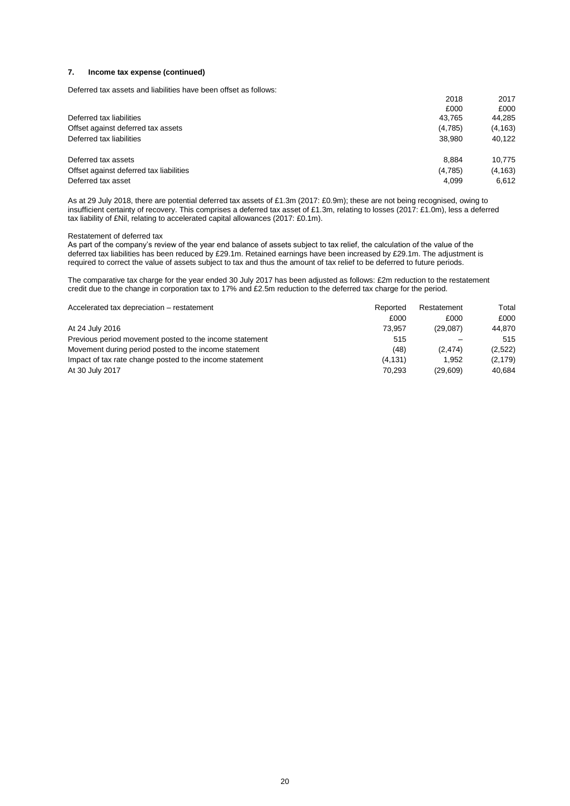#### **7. Income tax expense (continued)**

Deferred tax assets and liabilities have been offset as follows:

|                                         | 2018    | 2017     |
|-----------------------------------------|---------|----------|
|                                         | £000    | £000     |
| Deferred tax liabilities                | 43.765  | 44,285   |
| Offset against deferred tax assets      | (4,785) | (4, 163) |
| Deferred tax liabilities                | 38,980  | 40.122   |
| Deferred tax assets                     | 8.884   | 10,775   |
| Offset against deferred tax liabilities | (4,785) | (4, 163) |
| Deferred tax asset                      | 4,099   | 6.612    |

As at 29 July 2018, there are potential deferred tax assets of £1.3m (2017: £0.9m); these are not being recognised, owing to insufficient certainty of recovery. This comprises a deferred tax asset of £1.3m, relating to losses (2017: £1.0m), less a deferred tax liability of £Nil, relating to accelerated capital allowances (2017: £0.1m).

#### Restatement of deferred tax

As part of the company's review of the year end balance of assets subject to tax relief, the calculation of the value of the deferred tax liabilities has been reduced by £29.1m. Retained earnings have been increased by £29.1m. The adjustment is required to correct the value of assets subject to tax and thus the amount of tax relief to be deferred to future periods.

The comparative tax charge for the year ended 30 July 2017 has been adjusted as follows: £2m reduction to the restatement credit due to the change in corporation tax to 17% and £2.5m reduction to the deferred tax charge for the period.

| Accelerated tax depreciation – restatement               | Reported | Restatement | Total    |
|----------------------------------------------------------|----------|-------------|----------|
|                                                          | £000     | £000        | £000     |
| At 24 July 2016                                          | 73.957   | (29.087)    | 44.870   |
| Previous period movement posted to the income statement  | 515      |             | 515      |
| Movement during period posted to the income statement    | (48)     | (2.474)     | (2,522)  |
| Impact of tax rate change posted to the income statement | (4, 131) | 1.952       | (2, 179) |
| At 30 July 2017                                          | 70.293   | (29.609)    | 40.684   |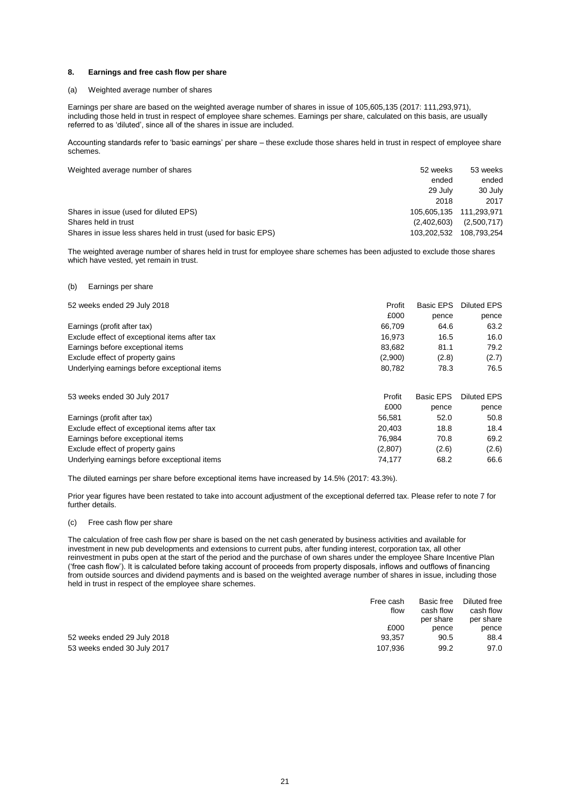#### **8. Earnings and free cash flow per share**

#### (a) Weighted average number of shares

Earnings per share are based on the weighted average number of shares in issue of 105,605,135 (2017: 111,293,971), including those held in trust in respect of employee share schemes. Earnings per share, calculated on this basis, are usually referred to as 'diluted', since all of the shares in issue are included.

Accounting standards refer to 'basic earnings' per share – these exclude those shares held in trust in respect of employee share schemes.

| Weighted average number of shares                              | 52 weeks    | 53 weeks                |
|----------------------------------------------------------------|-------------|-------------------------|
|                                                                | ended       | ended                   |
|                                                                | 29 July     | 30 July                 |
|                                                                | 2018        | 2017                    |
| Shares in issue (used for diluted EPS)                         |             | 105.605.135 111.293.971 |
| Shares held in trust                                           | (2,402,603) | (2,500,717)             |
| Shares in issue less shares held in trust (used for basic EPS) | 103.202.532 | 108,793,254             |

The weighted average number of shares held in trust for employee share schemes has been adjusted to exclude those shares which have vested, yet remain in trust.

#### (b) Earnings per share

| 52 weeks ended 29 July 2018                   | Profit  | <b>Basic EPS</b> | Diluted EPS        |
|-----------------------------------------------|---------|------------------|--------------------|
|                                               | £000    | pence            | pence              |
| Earnings (profit after tax)                   | 66.709  | 64.6             | 63.2               |
| Exclude effect of exceptional items after tax | 16.973  | 16.5             | 16.0               |
| Earnings before exceptional items             | 83,682  | 81.1             | 79.2               |
| Exclude effect of property gains              | (2,900) | (2.8)            | (2.7)              |
| Underlying earnings before exceptional items  | 80,782  | 78.3             | 76.5               |
| 53 weeks ended 30 July 2017                   | Profit  | Basic EPS        | <b>Diluted EPS</b> |
|                                               | £000    | pence            | pence              |
| Earnings (profit after tax)                   | 56,581  | 52.0             | 50.8               |
| Exclude effect of exceptional items after tax | 20.403  | 18.8             | 18.4               |
| Earnings before exceptional items             | 76.984  | 70.8             | 69.2               |
| Exclude effect of property gains              | (2,807) | (2.6)            | (2.6)              |
| Underlying earnings before exceptional items  | 74,177  | 68.2             | 66.6               |

The diluted earnings per share before exceptional items have increased by 14.5% (2017: 43.3%).

Prior year figures have been restated to take into account adjustment of the exceptional deferred tax. Please refer to note 7 for further details.

#### (c) Free cash flow per share

The calculation of free cash flow per share is based on the net cash generated by business activities and available for investment in new pub developments and extensions to current pubs, after funding interest, corporation tax, all other reinvestment in pubs open at the start of the period and the purchase of own shares under the employee Share Incentive Plan ('free cash flow'). It is calculated before taking account of proceeds from property disposals, inflows and outflows of financing from outside sources and dividend payments and is based on the weighted average number of shares in issue, including those held in trust in respect of the employee share schemes.

|                             | Free cash | Basic free | Diluted free |
|-----------------------------|-----------|------------|--------------|
|                             | flow      | cash flow  | cash flow    |
|                             |           | per share  | per share    |
|                             | £000      | pence      | pence        |
| 52 weeks ended 29 July 2018 | 93.357    | 90.5       | 88.4         |
| 53 weeks ended 30 July 2017 | 107.936   | 99.2       | 97.0         |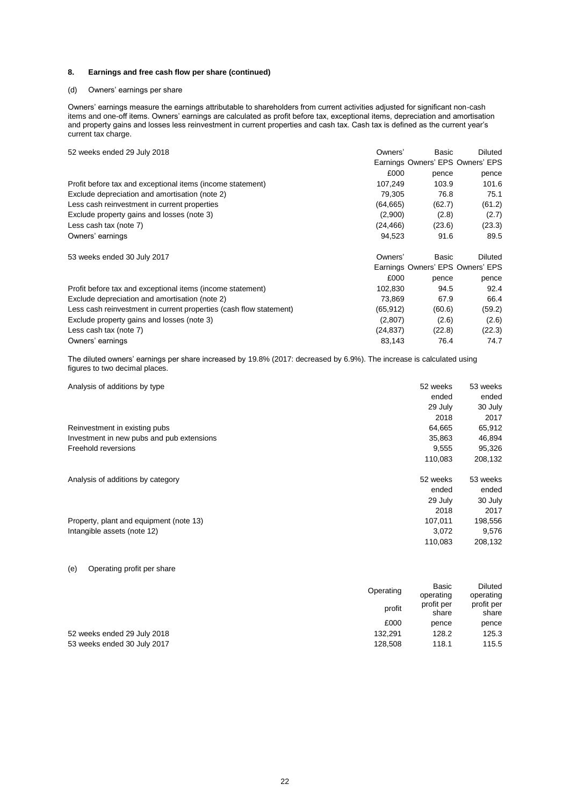### **8. Earnings and free cash flow per share (continued)**

## (d) Owners' earnings per share

Owners' earnings measure the earnings attributable to shareholders from current activities adjusted for significant non-cash items and one-off items. Owners' earnings are calculated as profit before tax, exceptional items, depreciation and amortisation and property gains and losses less reinvestment in current properties and cash tax. Cash tax is defined as the current year's current tax charge.

| 52 weeks ended 29 July 2018                                        | Owners'   | Basic  | <b>Diluted</b>                   |
|--------------------------------------------------------------------|-----------|--------|----------------------------------|
|                                                                    |           |        | Earnings Owners' EPS Owners' EPS |
|                                                                    | £000      | pence  | pence                            |
| Profit before tax and exceptional items (income statement)         | 107,249   | 103.9  | 101.6                            |
| Exclude depreciation and amortisation (note 2)                     | 79,305    | 76.8   | 75.1                             |
| Less cash reinvestment in current properties                       | (64, 665) | (62.7) | (61.2)                           |
| Exclude property gains and losses (note 3)                         | (2,900)   | (2.8)  | (2.7)                            |
| Less cash tax (note 7)                                             | (24, 466) | (23.6) | (23.3)                           |
| Owners' earnings                                                   | 94,523    | 91.6   | 89.5                             |
| 53 weeks ended 30 July 2017                                        | Owners'   | Basic  | Diluted                          |
|                                                                    |           |        | Earnings Owners' EPS Owners' EPS |
|                                                                    | £000      | pence  | pence                            |
| Profit before tax and exceptional items (income statement)         | 102,830   | 94.5   | 92.4                             |
| Exclude depreciation and amortisation (note 2)                     | 73,869    | 67.9   | 66.4                             |
| Less cash reinvestment in current properties (cash flow statement) | (65, 912) | (60.6) | (59.2)                           |
| Exclude property gains and losses (note 3)                         | (2,807)   | (2.6)  | (2.6)                            |
| Less cash tax (note 7)                                             | (24, 837) | (22.8) | (22.3)                           |
| Owners' earnings                                                   | 83,143    | 76.4   | 74.7                             |

The diluted owners' earnings per share increased by 19.8% (2017: decreased by 6.9%). The increase is calculated using figures to two decimal places.

| Analysis of additions by type             | 52 weeks | 53 weeks |
|-------------------------------------------|----------|----------|
|                                           | ended    | ended    |
|                                           | 29 July  | 30 July  |
|                                           | 2018     | 2017     |
| Reinvestment in existing pubs             | 64,665   | 65,912   |
| Investment in new pubs and pub extensions | 35,863   | 46,894   |
| Freehold reversions                       | 9,555    | 95,326   |
|                                           | 110,083  | 208,132  |
| Analysis of additions by category         | 52 weeks | 53 weeks |
|                                           | ended    | ended    |
|                                           | 29 July  | 30 July  |
|                                           | 2018     | 2017     |
| Property, plant and equipment (note 13)   | 107,011  | 198,556  |
| Intangible assets (note 12)               | 3,072    | 9,576    |
|                                           | 110.083  | 208,132  |

### (e) Operating profit per share

|                             | Operating | Basic<br>operating  | Diluted<br>operating |
|-----------------------------|-----------|---------------------|----------------------|
|                             | profit    | profit per<br>share | profit per<br>share  |
|                             | £000      | pence               | pence                |
| 52 weeks ended 29 July 2018 | 132.291   | 128.2               | 125.3                |
| 53 weeks ended 30 July 2017 | 128.508   | 118.1               | 115.5                |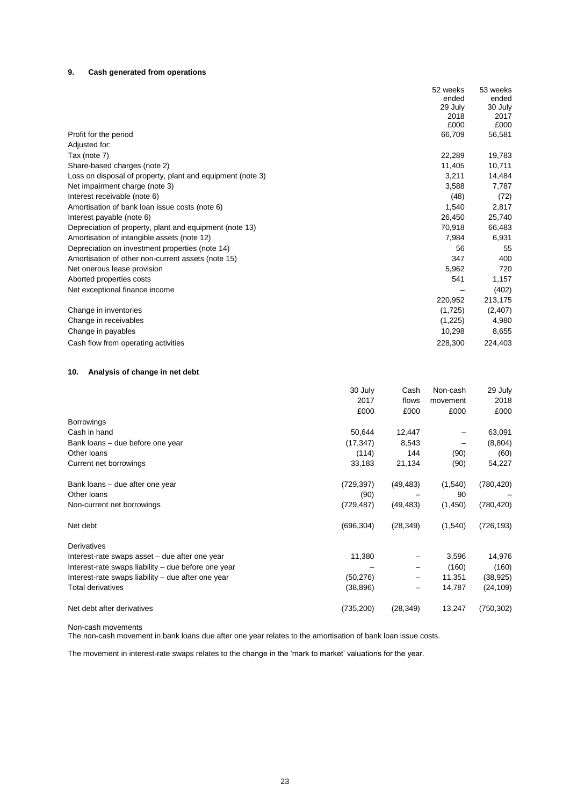# **9. Cash generated from operations**

|                                                            | 52 weeks | 53 weeks |
|------------------------------------------------------------|----------|----------|
|                                                            | ended    | ended    |
|                                                            | 29 July  | 30 July  |
|                                                            | 2018     | 2017     |
|                                                            | £000     | £000     |
| Profit for the period                                      | 66,709   | 56,581   |
| Adjusted for:                                              |          |          |
| Tax (note 7)                                               | 22,289   | 19,783   |
| Share-based charges (note 2)                               | 11,405   | 10,711   |
| Loss on disposal of property, plant and equipment (note 3) | 3,211    | 14,484   |
| Net impairment charge (note 3)                             | 3,588    | 7,787    |
| Interest receivable (note 6)                               | (48)     | (72)     |
| Amortisation of bank loan issue costs (note 6)             | 1,540    | 2,817    |
| Interest payable (note 6)                                  | 26,450   | 25,740   |
| Depreciation of property, plant and equipment (note 13)    | 70,918   | 66,483   |
| Amortisation of intangible assets (note 12)                | 7,984    | 6,931    |
| Depreciation on investment properties (note 14)            | 56       | 55       |
| Amortisation of other non-current assets (note 15)         | 347      | 400      |
| Net onerous lease provision                                | 5,962    | 720      |
| Aborted properties costs                                   | 541      | 1,157    |
| Net exceptional finance income                             |          | (402)    |
|                                                            | 220,952  | 213,175  |
| Change in inventories                                      | (1,725)  | (2,407)  |
| Change in receivables                                      | (1,225)  | 4,980    |
| Change in payables                                         | 10,298   | 8,655    |
| Cash flow from operating activities                        | 228,300  | 224,403  |

# **10. Analysis of change in net debt**

|                                                     | 30 July<br>2017<br>£000 | Cash<br>flows<br>£000 | Non-cash<br>movement<br>£000 | 29 July<br>2018<br>£000 |
|-----------------------------------------------------|-------------------------|-----------------------|------------------------------|-------------------------|
| <b>Borrowings</b>                                   |                         |                       |                              |                         |
| Cash in hand                                        | 50,644                  | 12,447                |                              | 63,091                  |
| Bank loans - due before one year                    | (17, 347)               | 8,543                 |                              | (8,804)                 |
| Other loans                                         | (114)                   | 144                   | (90)                         | (60)                    |
| Current net borrowings                              | 33,183                  | 21,134                | (90)                         | 54,227                  |
| Bank loans – due after one year                     | (729, 397)              | (49, 483)             | (1,540)                      | (780, 420)              |
| Other loans                                         | (90)                    |                       | 90                           |                         |
| Non-current net borrowings                          | (729, 487)              | (49, 483)             | (1,450)                      | (780, 420)              |
| Net debt                                            | (696, 304)              | (28, 349)             | (1,540)                      | (726, 193)              |
| <b>Derivatives</b>                                  |                         |                       |                              |                         |
| Interest-rate swaps asset - due after one year      | 11,380                  |                       | 3,596                        | 14,976                  |
| Interest-rate swaps liability – due before one year |                         |                       | (160)                        | (160)                   |
| Interest-rate swaps liability – due after one year  | (50, 276)               |                       | 11,351                       | (38, 925)               |
| <b>Total derivatives</b>                            | (38, 896)               |                       | 14,787                       | (24, 109)               |
| Net debt after derivatives                          | (735, 200)              | (28, 349)             | 13,247                       | (750, 302)              |

Non-cash movements

The non-cash movement in bank loans due after one year relates to the amortisation of bank loan issue costs.

The movement in interest-rate swaps relates to the change in the 'mark to market' valuations for the year.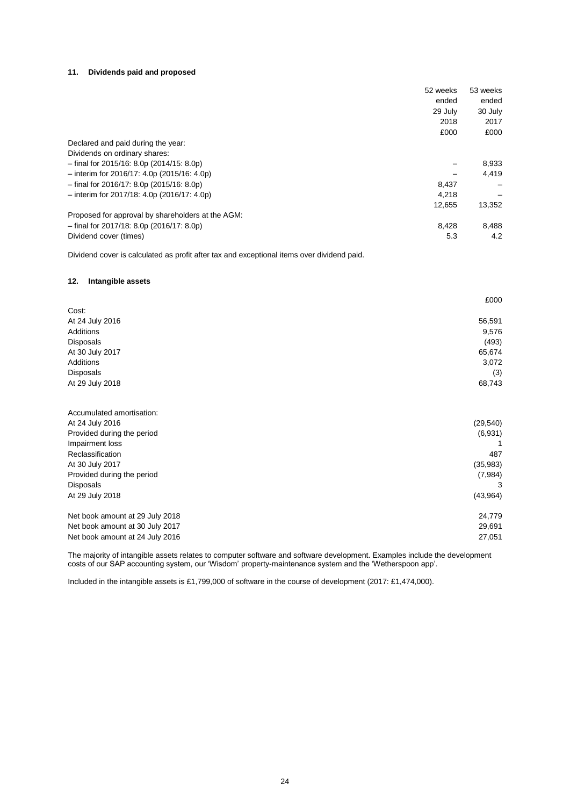### **11. Dividends paid and proposed**

|                                                   | 52 weeks | 53 weeks |
|---------------------------------------------------|----------|----------|
|                                                   | ended    | ended    |
|                                                   | 29 July  | 30 July  |
|                                                   | 2018     | 2017     |
|                                                   | £000     | £000     |
| Declared and paid during the year:                |          |          |
| Dividends on ordinary shares:                     |          |          |
| $-$ final for 2015/16: 8.0p (2014/15: 8.0p)       |          | 8,933    |
| $-$ interim for 2016/17: 4.0p (2015/16: 4.0p)     |          | 4,419    |
| $-$ final for 2016/17: 8.0p (2015/16: 8.0p)       | 8,437    |          |
| $-$ interim for 2017/18: 4.0p (2016/17: 4.0p)     | 4.218    |          |
|                                                   | 12,655   | 13,352   |
| Proposed for approval by shareholders at the AGM: |          |          |
| $-$ final for 2017/18: 8.0p (2016/17: 8.0p)       | 8,428    | 8,488    |
| Dividend cover (times)                            | 5.3      | 4.2      |

Dividend cover is calculated as profit after tax and exceptional items over dividend paid.

### **12. Intangible assets**

|                            | £000      |
|----------------------------|-----------|
| Cost:                      |           |
| At 24 July 2016            | 56,591    |
| Additions                  | 9,576     |
| Disposals                  | (493)     |
| At 30 July 2017            | 65,674    |
| Additions                  | 3,072     |
| <b>Disposals</b>           | (3)       |
| At 29 July 2018            | 68,743    |
| Accumulated amortisation:  |           |
| At 24 July 2016            | (29, 540) |
| Provided during the period | (6,931)   |
| Impairment loss            |           |
|                            |           |

| Reclassification                | 487      |
|---------------------------------|----------|
| At 30 July 2017                 | (35,983) |
| Provided during the period      | (7,984)  |
| <b>Disposals</b>                |          |
| At 29 July 2018                 | (43,964) |
| Net book amount at 29 July 2018 | 24.779   |
| Net book amount at 30 July 2017 | 29,691   |
| Net book amount at 24 July 2016 | 27.051   |

The majority of intangible assets relates to computer software and software development. Examples include the development costs of our SAP accounting system, our 'Wisdom' property-maintenance system and the 'Wetherspoon app'.

Included in the intangible assets is £1,799,000 of software in the course of development (2017: £1,474,000).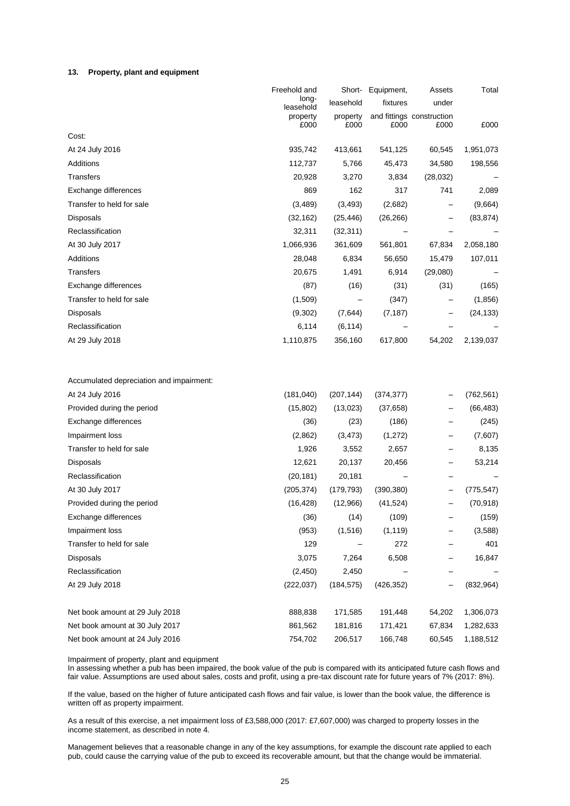#### **13. Property, plant and equipment**

|                                          | Freehold and       |            | Short- Equipment, | Assets                    | Total      |
|------------------------------------------|--------------------|------------|-------------------|---------------------------|------------|
|                                          | long-<br>leasehold | leasehold  | fixtures          | under                     |            |
|                                          | property           | property   |                   | and fittings construction |            |
| Cost:                                    | £000               | £000       | £000              | £000                      | £000       |
| At 24 July 2016                          | 935,742            | 413,661    | 541,125           | 60,545                    | 1,951,073  |
| Additions                                | 112,737            | 5,766      | 45,473            | 34,580                    | 198,556    |
| <b>Transfers</b>                         | 20,928             | 3,270      | 3,834             | (28, 032)                 |            |
| Exchange differences                     | 869                | 162        | 317               | 741                       | 2,089      |
| Transfer to held for sale                | (3, 489)           | (3, 493)   | (2,682)           |                           | (9,664)    |
| Disposals                                | (32, 162)          | (25, 446)  | (26, 266)         |                           | (83, 874)  |
| Reclassification                         | 32,311             | (32, 311)  |                   |                           |            |
| At 30 July 2017                          | 1,066,936          | 361,609    | 561,801           | 67,834                    | 2,058,180  |
| Additions                                | 28,048             | 6,834      | 56,650            | 15,479                    | 107,011    |
| <b>Transfers</b>                         | 20,675             | 1,491      | 6,914             | (29,080)                  |            |
| Exchange differences                     | (87)               | (16)       | (31)              | (31)                      | (165)      |
| Transfer to held for sale                | (1,509)            |            | (347)             |                           | (1,856)    |
| Disposals                                | (9,302)            | (7,644)    | (7, 187)          |                           | (24, 133)  |
| Reclassification                         | 6,114              | (6, 114)   |                   |                           |            |
| At 29 July 2018                          | 1,110,875          | 356,160    | 617,800           | 54,202                    | 2,139,037  |
|                                          |                    |            |                   |                           |            |
| Accumulated depreciation and impairment: |                    |            |                   |                           |            |
| At 24 July 2016                          | (181, 040)         | (207, 144) | (374, 377)        |                           | (762, 561) |
| Provided during the period               | (15, 802)          | (13,023)   | (37, 658)         |                           | (66, 483)  |
| Exchange differences                     | (36)               | (23)       | (186)             |                           | (245)      |
| Impairment loss                          | (2,862)            | (3, 473)   | (1,272)           |                           | (7,607)    |
| Transfer to held for sale                | 1,926              | 3,552      | 2,657             |                           | 8,135      |
| Disposals                                | 12,621             | 20,137     | 20,456            |                           | 53,214     |
| Reclassification                         | (20, 181)          | 20,181     |                   |                           |            |
| At 30 July 2017                          | (205, 374)         | (179, 793) | (390, 380)        |                           | (775, 547) |
| Provided during the period               | (16, 428)          | (12,966)   | (41, 524)         |                           | (70, 918)  |
| Exchange differences                     | (36)               | (14)       | (109)             |                           | (159)      |
| Impairment loss                          | (953)              | (1,516)    | (1, 119)          |                           | (3,588)    |
| Transfer to held for sale                | 129                |            | 272               |                           | 401        |
| <b>Disposals</b>                         | 3,075              | 7,264      | 6,508             |                           | 16,847     |
| Reclassification                         | (2, 450)           | 2,450      |                   |                           |            |
| At 29 July 2018                          | (222, 037)         | (184, 575) | (426, 352)        | —                         | (832, 964) |
| Net book amount at 29 July 2018          | 888,838            | 171,585    | 191,448           | 54,202                    | 1,306,073  |
| Net book amount at 30 July 2017          | 861,562            | 181,816    | 171,421           | 67,834                    | 1,282,633  |
| Net book amount at 24 July 2016          | 754,702            | 206,517    | 166,748           | 60,545                    | 1,188,512  |

Impairment of property, plant and equipment

In assessing whether a pub has been impaired, the book value of the pub is compared with its anticipated future cash flows and fair value. Assumptions are used about sales, costs and profit, using a pre-tax discount rate for future years of 7% (2017: 8%).

If the value, based on the higher of future anticipated cash flows and fair value, is lower than the book value, the difference is written off as property impairment.

As a result of this exercise, a net impairment loss of £3,588,000 (2017: £7,607,000) was charged to property losses in the income statement, as described in note 4.

Management believes that a reasonable change in any of the key assumptions, for example the discount rate applied to each pub, could cause the carrying value of the pub to exceed its recoverable amount, but that the change would be immaterial.